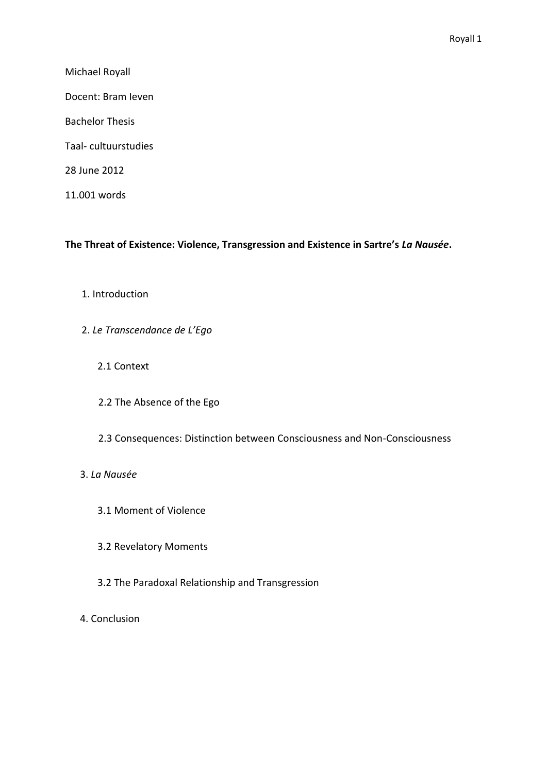Michael Royall

Docent: Bram Ieven

Bachelor Thesis

Taal- cultuurstudies

28 June 2012

11.001 words

**The Threat of Existence: Violence, Transgression and Existence in Sartre's** *La Nausée***.**

1. Introduction

2. *Le Transcendance de L'Ego*

2.1 Context

- 2.2 The Absence of the Ego
- 2.3 Consequences: Distinction between Consciousness and Non-Consciousness

# 3. *La Nausée*

- 3.1 Moment of Violence
- 3.2 Revelatory Moments
- 3.2 The Paradoxal Relationship and Transgression
- 4. Conclusion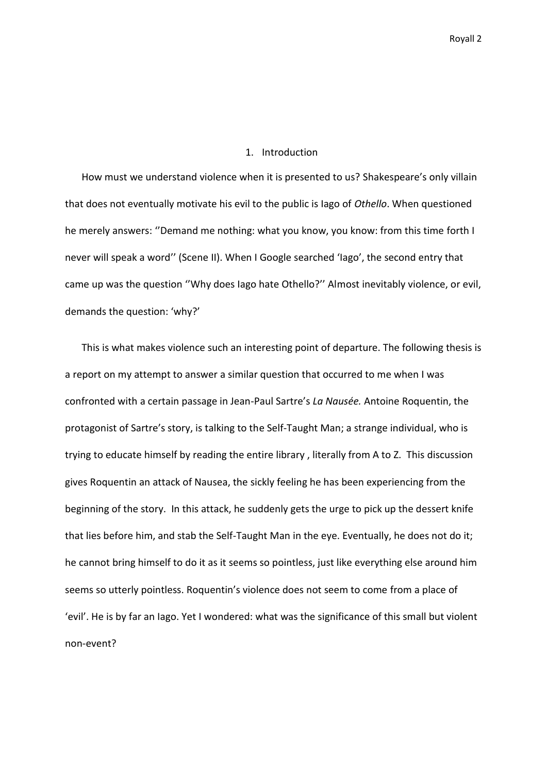#### 1. Introduction

How must we understand violence when it is presented to us? Shakespeare's only villain that does not eventually motivate his evil to the public is Iago of *Othello*. When questioned he merely answers: ''Demand me nothing: what you know, you know: from this time forth I never will speak a word'' (Scene II). When I Google searched 'Iago', the second entry that came up was the question ''Why does Iago hate Othello?'' Almost inevitably violence, or evil, demands the question: 'why?'

This is what makes violence such an interesting point of departure. The following thesis is a report on my attempt to answer a similar question that occurred to me when I was confronted with a certain passage in Jean-Paul Sartre's *La Nausée.* Antoine Roquentin, the protagonist of Sartre's story, is talking to the Self-Taught Man; a strange individual, who is trying to educate himself by reading the entire library , literally from A to Z. This discussion gives Roquentin an attack of Nausea, the sickly feeling he has been experiencing from the beginning of the story. In this attack, he suddenly gets the urge to pick up the dessert knife that lies before him, and stab the Self-Taught Man in the eye. Eventually, he does not do it; he cannot bring himself to do it as it seems so pointless, just like everything else around him seems so utterly pointless. Roquentin's violence does not seem to come from a place of 'evil'. He is by far an Iago. Yet I wondered: what was the significance of this small but violent non-event?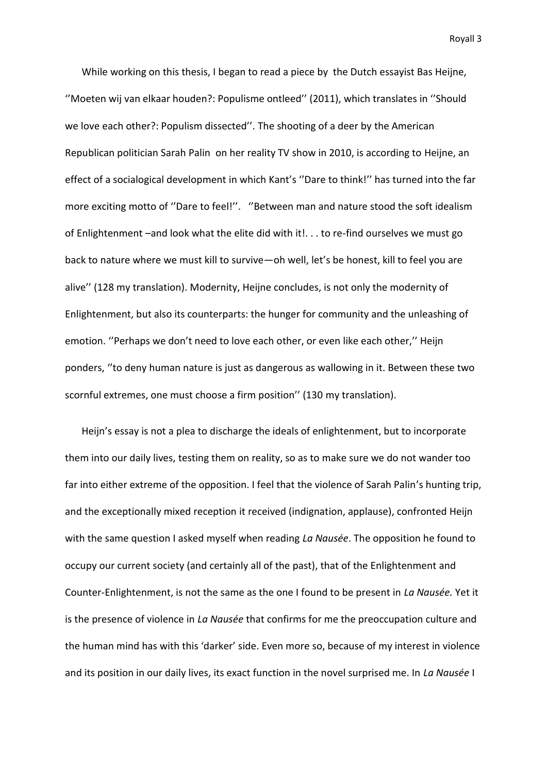While working on this thesis, I began to read a piece by the Dutch essayist Bas Heijne, ''Moeten wij van elkaar houden?: Populisme ontleed'' (2011), which translates in ''Should we love each other?: Populism dissected''. The shooting of a deer by the American Republican politician Sarah Palin on her reality TV show in 2010, is according to Heijne, an effect of a socialogical development in which Kant's ''Dare to think!'' has turned into the far more exciting motto of ''Dare to feel!''. ''Between man and nature stood the soft idealism of Enlightenment –and look what the elite did with it!... to re-find ourselves we must go back to nature where we must kill to survive—oh well, let's be honest, kill to feel you are alive'' (128 my translation). Modernity, Heijne concludes, is not only the modernity of Enlightenment, but also its counterparts: the hunger for community and the unleashing of emotion. ''Perhaps we don't need to love each other, or even like each other,'' Heijn ponders, ''to deny human nature is just as dangerous as wallowing in it. Between these two scornful extremes, one must choose a firm position'' (130 my translation).

Heijn's essay is not a plea to discharge the ideals of enlightenment, but to incorporate them into our daily lives, testing them on reality, so as to make sure we do not wander too far into either extreme of the opposition. I feel that the violence of Sarah Palin's hunting trip, and the exceptionally mixed reception it received (indignation, applause), confronted Heijn with the same question I asked myself when reading *La Nausée*. The opposition he found to occupy our current society (and certainly all of the past), that of the Enlightenment and Counter-Enlightenment, is not the same as the one I found to be present in *La Nausée.* Yet it is the presence of violence in *La Nausée* that confirms for me the preoccupation culture and the human mind has with this 'darker' side. Even more so, because of my interest in violence and its position in our daily lives, its exact function in the novel surprised me. In *La Nausée* I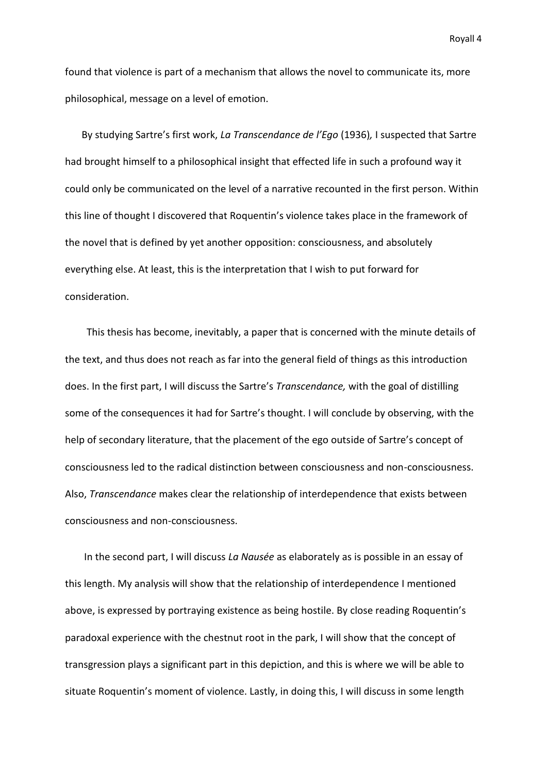found that violence is part of a mechanism that allows the novel to communicate its, more philosophical, message on a level of emotion.

By studying Sartre's first work, *La Transcendance de l'Ego* (1936)*,* I suspected that Sartre had brought himself to a philosophical insight that effected life in such a profound way it could only be communicated on the level of a narrative recounted in the first person. Within this line of thought I discovered that Roquentin's violence takes place in the framework of the novel that is defined by yet another opposition: consciousness, and absolutely everything else. At least, this is the interpretation that I wish to put forward for consideration.

This thesis has become, inevitably, a paper that is concerned with the minute details of the text, and thus does not reach as far into the general field of things as this introduction does. In the first part, I will discuss the Sartre's *Transcendance,* with the goal of distilling some of the consequences it had for Sartre's thought. I will conclude by observing, with the help of secondary literature, that the placement of the ego outside of Sartre's concept of consciousness led to the radical distinction between consciousness and non-consciousness. Also, *Transcendance* makes clear the relationship of interdependence that exists between consciousness and non-consciousness.

In the second part, I will discuss *La Nausée* as elaborately as is possible in an essay of this length. My analysis will show that the relationship of interdependence I mentioned above, is expressed by portraying existence as being hostile. By close reading Roquentin's paradoxal experience with the chestnut root in the park, I will show that the concept of transgression plays a significant part in this depiction, and this is where we will be able to situate Roquentin's moment of violence. Lastly, in doing this, I will discuss in some length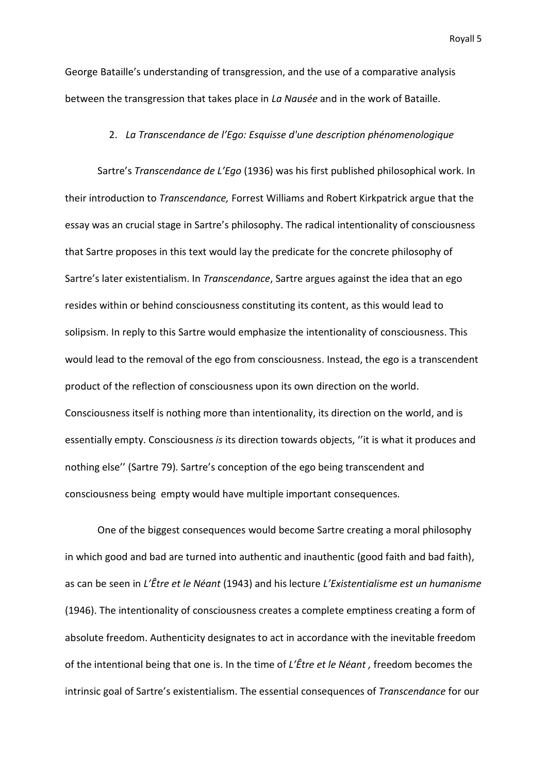George Bataille's understanding of transgression, and the use of a comparative analysis between the transgression that takes place in *La Nausée* and in the work of Bataille.

### 2. *La Transcendance de l'Ego: Esquisse d'une description phénomenologique*

Sartre's *Transcendance de L'Ego* (1936) was his first published philosophical work. In their introduction to *Transcendance,* Forrest Williams and Robert Kirkpatrick argue that the essay was an crucial stage in Sartre's philosophy. The radical intentionality of consciousness that Sartre proposes in this text would lay the predicate for the concrete philosophy of Sartre's later existentialism. In *Transcendance*, Sartre argues against the idea that an ego resides within or behind consciousness constituting its content, as this would lead to solipsism. In reply to this Sartre would emphasize the intentionality of consciousness. This would lead to the removal of the ego from consciousness. Instead, the ego is a transcendent product of the reflection of consciousness upon its own direction on the world. Consciousness itself is nothing more than intentionality, its direction on the world, and is essentially empty. Consciousness *is* its direction towards objects, ''it is what it produces and nothing else'' (Sartre 79). Sartre's conception of the ego being transcendent and consciousness being empty would have multiple important consequences.

One of the biggest consequences would become Sartre creating a moral philosophy in which good and bad are turned into authentic and inauthentic (good faith and bad faith), as can be seen in *L'Être et le Néant* (1943) and his lecture *L'Existentialisme est un humanisme*  (1946). The intentionality of consciousness creates a complete emptiness creating a form of absolute freedom. Authenticity designates to act in accordance with the inevitable freedom of the intentional being that one is. In the time of *L'Être et le Néant ,* freedom becomes the intrinsic goal of Sartre's existentialism. The essential consequences of *Transcendance* for our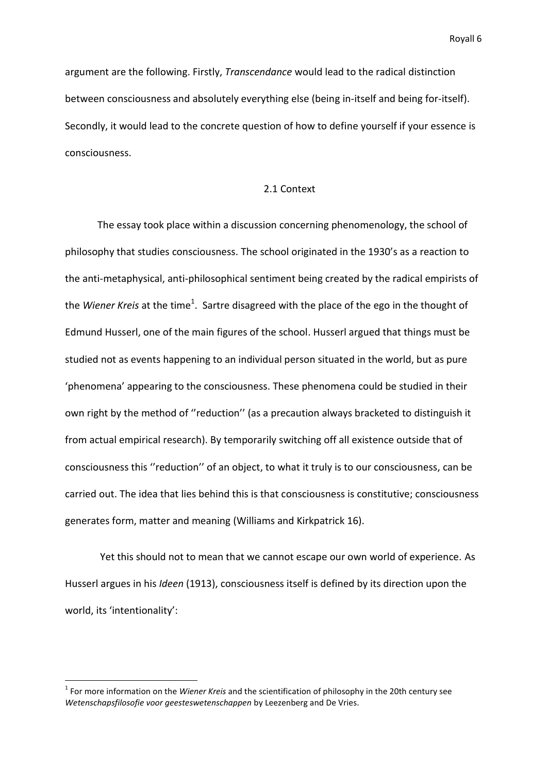argument are the following. Firstly, *Transcendance* would lead to the radical distinction between consciousness and absolutely everything else (being in-itself and being for-itself). Secondly, it would lead to the concrete question of how to define yourself if your essence is consciousness.

## 2.1 Context

The essay took place within a discussion concerning phenomenology, the school of philosophy that studies consciousness. The school originated in the 1930's as a reaction to the anti-metaphysical, anti-philosophical sentiment being created by the radical empirists of the *Wiener Kreis* at the time<sup>1</sup>. Sartre disagreed with the place of the ego in the thought of Edmund Husserl, one of the main figures of the school. Husserl argued that things must be studied not as events happening to an individual person situated in the world, but as pure 'phenomena' appearing to the consciousness. These phenomena could be studied in their own right by the method of ''reduction'' (as a precaution always bracketed to distinguish it from actual empirical research). By temporarily switching off all existence outside that of consciousness this ''reduction'' of an object, to what it truly is to our consciousness, can be carried out. The idea that lies behind this is that consciousness is constitutive; consciousness generates form, matter and meaning (Williams and Kirkpatrick 16).

Yet this should not to mean that we cannot escape our own world of experience. As Husserl argues in his *Ideen* (1913), consciousness itself is defined by its direction upon the world, its 'intentionality':

<sup>1</sup> For more information on the *Wiener Kreis* and the scientification of philosophy in the 20th century see *Wetenschapsfilosofie voor geesteswetenschappen* by Leezenberg and De Vries.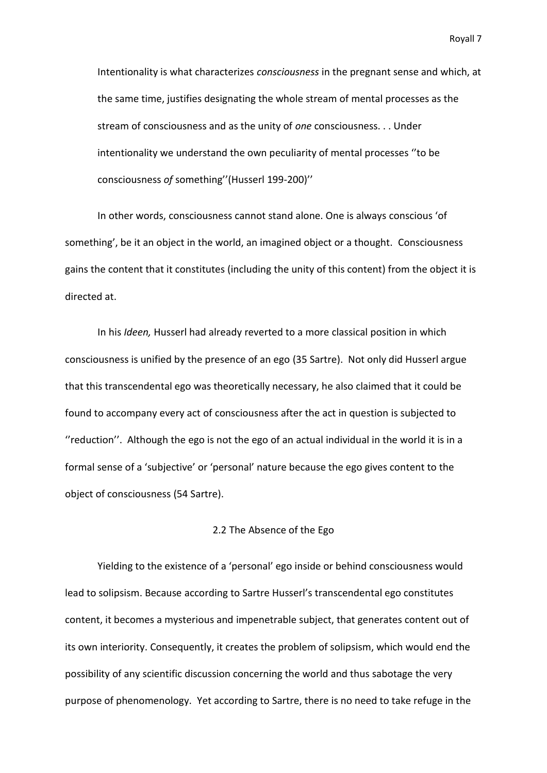Intentionality is what characterizes *consciousness* in the pregnant sense and which, at the same time, justifies designating the whole stream of mental processes as the stream of consciousness and as the unity of *one* consciousness. . . Under intentionality we understand the own peculiarity of mental processes ''to be consciousness *of* something''(Husserl 199-200)''

In other words, consciousness cannot stand alone. One is always conscious 'of something', be it an object in the world, an imagined object or a thought. Consciousness gains the content that it constitutes (including the unity of this content) from the object it is directed at.

In his *Ideen,* Husserl had already reverted to a more classical position in which consciousness is unified by the presence of an ego (35 Sartre). Not only did Husserl argue that this transcendental ego was theoretically necessary, he also claimed that it could be found to accompany every act of consciousness after the act in question is subjected to ''reduction''. Although the ego is not the ego of an actual individual in the world it is in a formal sense of a 'subjective' or 'personal' nature because the ego gives content to the object of consciousness (54 Sartre).

### 2.2 The Absence of the Ego

Yielding to the existence of a 'personal' ego inside or behind consciousness would lead to solipsism. Because according to Sartre Husserl's transcendental ego constitutes content, it becomes a mysterious and impenetrable subject, that generates content out of its own interiority. Consequently, it creates the problem of solipsism, which would end the possibility of any scientific discussion concerning the world and thus sabotage the very purpose of phenomenology. Yet according to Sartre, there is no need to take refuge in the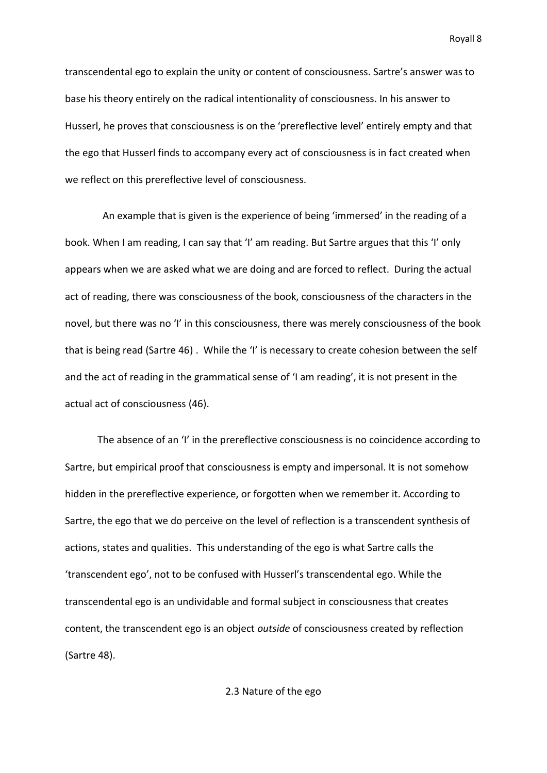transcendental ego to explain the unity or content of consciousness. Sartre's answer was to base his theory entirely on the radical intentionality of consciousness. In his answer to Husserl, he proves that consciousness is on the 'prereflective level' entirely empty and that the ego that Husserl finds to accompany every act of consciousness is in fact created when we reflect on this prereflective level of consciousness.

 An example that is given is the experience of being 'immersed' in the reading of a book. When I am reading, I can say that 'I' am reading. But Sartre argues that this 'I' only appears when we are asked what we are doing and are forced to reflect. During the actual act of reading, there was consciousness of the book, consciousness of the characters in the novel, but there was no 'I' in this consciousness, there was merely consciousness of the book that is being read (Sartre 46) . While the 'I' is necessary to create cohesion between the self and the act of reading in the grammatical sense of 'I am reading', it is not present in the actual act of consciousness (46).

The absence of an 'I' in the prereflective consciousness is no coincidence according to Sartre, but empirical proof that consciousness is empty and impersonal. It is not somehow hidden in the prereflective experience, or forgotten when we remember it. According to Sartre, the ego that we do perceive on the level of reflection is a transcendent synthesis of actions, states and qualities. This understanding of the ego is what Sartre calls the 'transcendent ego', not to be confused with Husserl's transcendental ego. While the transcendental ego is an undividable and formal subject in consciousness that creates content, the transcendent ego is an object *outside* of consciousness created by reflection (Sartre 48).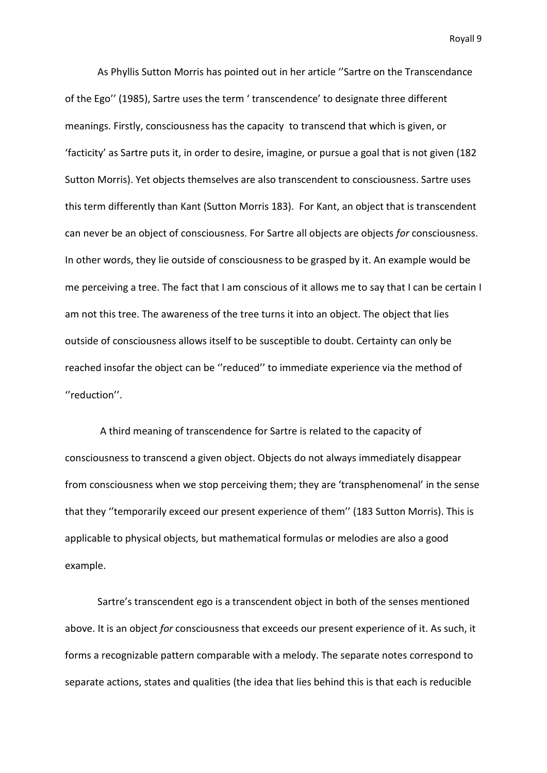As Phyllis Sutton Morris has pointed out in her article ''Sartre on the Transcendance of the Ego'' (1985), Sartre uses the term ' transcendence' to designate three different meanings. Firstly, consciousness has the capacity to transcend that which is given, or 'facticity' as Sartre puts it, in order to desire, imagine, or pursue a goal that is not given (182 Sutton Morris). Yet objects themselves are also transcendent to consciousness. Sartre uses this term differently than Kant (Sutton Morris 183). For Kant, an object that is transcendent can never be an object of consciousness. For Sartre all objects are objects *for* consciousness. In other words, they lie outside of consciousness to be grasped by it. An example would be me perceiving a tree. The fact that I am conscious of it allows me to say that I can be certain I am not this tree. The awareness of the tree turns it into an object. The object that lies outside of consciousness allows itself to be susceptible to doubt. Certainty can only be reached insofar the object can be ''reduced'' to immediate experience via the method of ''reduction''.

A third meaning of transcendence for Sartre is related to the capacity of consciousness to transcend a given object. Objects do not always immediately disappear from consciousness when we stop perceiving them; they are 'transphenomenal' in the sense that they ''temporarily exceed our present experience of them'' (183 Sutton Morris). This is applicable to physical objects, but mathematical formulas or melodies are also a good example.

Sartre's transcendent ego is a transcendent object in both of the senses mentioned above. It is an object *for* consciousness that exceeds our present experience of it. As such, it forms a recognizable pattern comparable with a melody. The separate notes correspond to separate actions, states and qualities (the idea that lies behind this is that each is reducible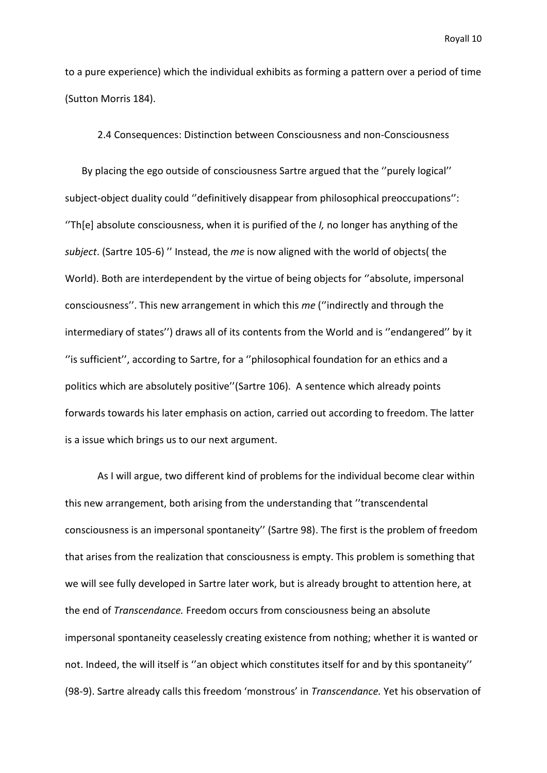to a pure experience) which the individual exhibits as forming a pattern over a period of time (Sutton Morris 184).

2.4 Consequences: Distinction between Consciousness and non-Consciousness

By placing the ego outside of consciousness Sartre argued that the ''purely logical'' subject-object duality could ''definitively disappear from philosophical preoccupations'': ''Th[e] absolute consciousness, when it is purified of the *I,* no longer has anything of the *subject*. (Sartre 105-6) '' Instead, the *me* is now aligned with the world of objects( the World). Both are interdependent by the virtue of being objects for ''absolute, impersonal consciousness''. This new arrangement in which this *me* (''indirectly and through the intermediary of states'') draws all of its contents from the World and is ''endangered'' by it ''is sufficient'', according to Sartre, for a ''philosophical foundation for an ethics and a politics which are absolutely positive''(Sartre 106). A sentence which already points forwards towards his later emphasis on action, carried out according to freedom. The latter is a issue which brings us to our next argument.

As I will argue, two different kind of problems for the individual become clear within this new arrangement, both arising from the understanding that ''transcendental consciousness is an impersonal spontaneity'' (Sartre 98). The first is the problem of freedom that arises from the realization that consciousness is empty. This problem is something that we will see fully developed in Sartre later work, but is already brought to attention here, at the end of *Transcendance.* Freedom occurs from consciousness being an absolute impersonal spontaneity ceaselessly creating existence from nothing; whether it is wanted or not. Indeed, the will itself is ''an object which constitutes itself for and by this spontaneity'' (98-9). Sartre already calls this freedom 'monstrous' in *Transcendance.* Yet his observation of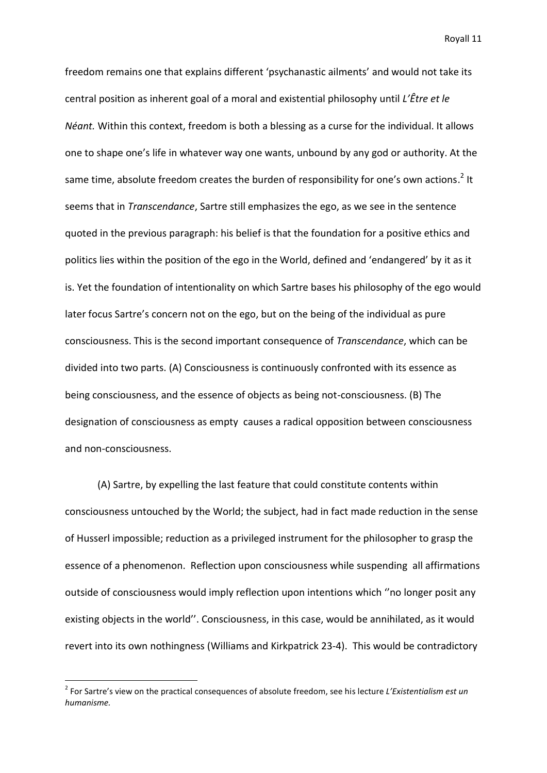freedom remains one that explains different 'psychanastic ailments' and would not take its central position as inherent goal of a moral and existential philosophy until *L'Être et le Néant.* Within this context, freedom is both a blessing as a curse for the individual. It allows one to shape one's life in whatever way one wants, unbound by any god or authority. At the same time, absolute freedom creates the burden of responsibility for one's own actions.<sup>2</sup> It seems that in *Transcendance*, Sartre still emphasizes the ego, as we see in the sentence quoted in the previous paragraph: his belief is that the foundation for a positive ethics and politics lies within the position of the ego in the World, defined and 'endangered' by it as it is. Yet the foundation of intentionality on which Sartre bases his philosophy of the ego would later focus Sartre's concern not on the ego, but on the being of the individual as pure consciousness. This is the second important consequence of *Transcendance*, which can be divided into two parts. (A) Consciousness is continuously confronted with its essence as being consciousness, and the essence of objects as being not-consciousness. (B) The designation of consciousness as empty causes a radical opposition between consciousness and non-consciousness.

(A) Sartre, by expelling the last feature that could constitute contents within consciousness untouched by the World; the subject, had in fact made reduction in the sense of Husserl impossible; reduction as a privileged instrument for the philosopher to grasp the essence of a phenomenon. Reflection upon consciousness while suspending all affirmations outside of consciousness would imply reflection upon intentions which ''no longer posit any existing objects in the world''. Consciousness, in this case, would be annihilated, as it would revert into its own nothingness (Williams and Kirkpatrick 23-4). This would be contradictory

<sup>2</sup> For Sartre's view on the practical consequences of absolute freedom, see his lecture *L'Existentialism est un humanisme.*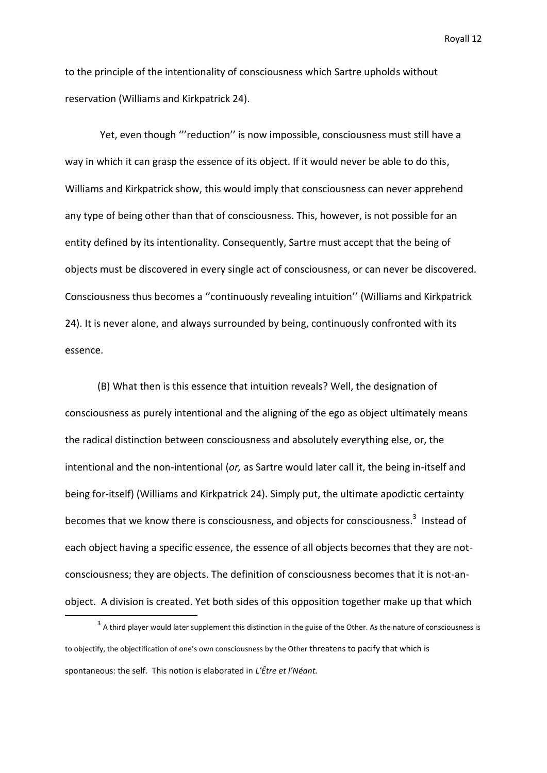to the principle of the intentionality of consciousness which Sartre upholds without reservation (Williams and Kirkpatrick 24).

Yet, even though "'reduction" is now impossible, consciousness must still have a way in which it can grasp the essence of its object. If it would never be able to do this, Williams and Kirkpatrick show, this would imply that consciousness can never apprehend any type of being other than that of consciousness. This, however, is not possible for an entity defined by its intentionality. Consequently, Sartre must accept that the being of objects must be discovered in every single act of consciousness, or can never be discovered. Consciousness thus becomes a ''continuously revealing intuition'' (Williams and Kirkpatrick 24). It is never alone, and always surrounded by being, continuously confronted with its essence.

(B) What then is this essence that intuition reveals? Well, the designation of consciousness as purely intentional and the aligning of the ego as object ultimately means the radical distinction between consciousness and absolutely everything else, or, the intentional and the non-intentional (*or,* as Sartre would later call it, the being in-itself and being for-itself) (Williams and Kirkpatrick 24). Simply put, the ultimate apodictic certainty becomes that we know there is consciousness, and objects for consciousness.<sup>3</sup> Instead of each object having a specific essence, the essence of all objects becomes that they are notconsciousness; they are objects. The definition of consciousness becomes that it is not-anobject. A division is created. Yet both sides of this opposition together make up that which

**.** 

 $3$  A third player would later supplement this distinction in the guise of the Other. As the nature of consciousness is to objectify, the objectification of one's own consciousness by the Other threatens to pacify that which is spontaneous: the self. This notion is elaborated in *L'Être et l'Néant.*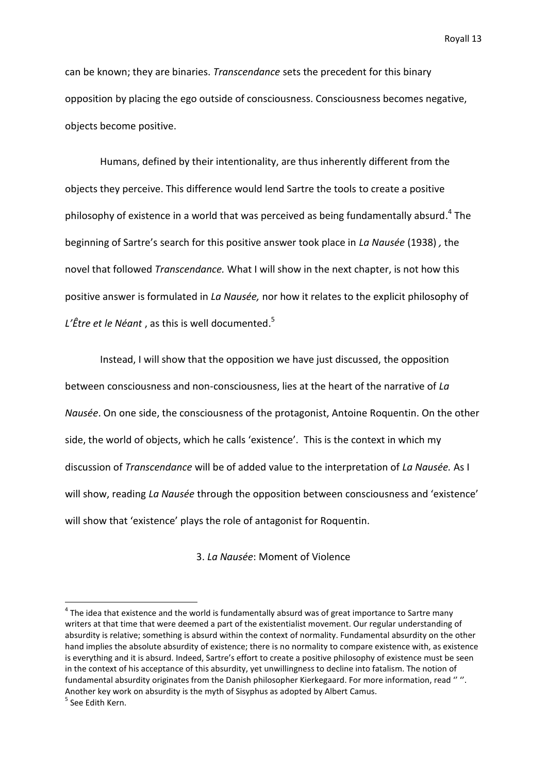can be known; they are binaries. *Transcendance* sets the precedent for this binary opposition by placing the ego outside of consciousness. Consciousness becomes negative, objects become positive.

Humans, defined by their intentionality, are thus inherently different from the objects they perceive. This difference would lend Sartre the tools to create a positive philosophy of existence in a world that was perceived as being fundamentally absurd.<sup>4</sup> The beginning of Sartre's search for this positive answer took place in *La Nausée* (1938) *,* the novel that followed *Transcendance.* What I will show in the next chapter, is not how this positive answer is formulated in *La Nausée,* nor how it relates to the explicit philosophy of *L'Être et le Néant* , as this is well documented. 5

Instead, I will show that the opposition we have just discussed, the opposition between consciousness and non-consciousness, lies at the heart of the narrative of *La Nausée*. On one side, the consciousness of the protagonist, Antoine Roquentin. On the other side, the world of objects, which he calls 'existence'. This is the context in which my discussion of *Transcendance* will be of added value to the interpretation of *La Nausée.* As I will show, reading *La Nausée* through the opposition between consciousness and 'existence' will show that 'existence' plays the role of antagonist for Roquentin.

3. *La Nausée*: Moment of Violence

 $^4$  The idea that existence and the world is fundamentally absurd was of great importance to Sartre many writers at that time that were deemed a part of the existentialist movement. Our regular understanding of absurdity is relative; something is absurd within the context of normality. Fundamental absurdity on the other hand implies the absolute absurdity of existence; there is no normality to compare existence with, as existence is everything and it is absurd. Indeed, Sartre's effort to create a positive philosophy of existence must be seen in the context of his acceptance of this absurdity, yet unwillingness to decline into fatalism. The notion of fundamental absurdity originates from the Danish philosopher Kierkegaard. For more information, read '' ''. Another key work on absurdity is the myth of Sisyphus as adopted by Albert Camus. <sup>5</sup> See Edith Kern.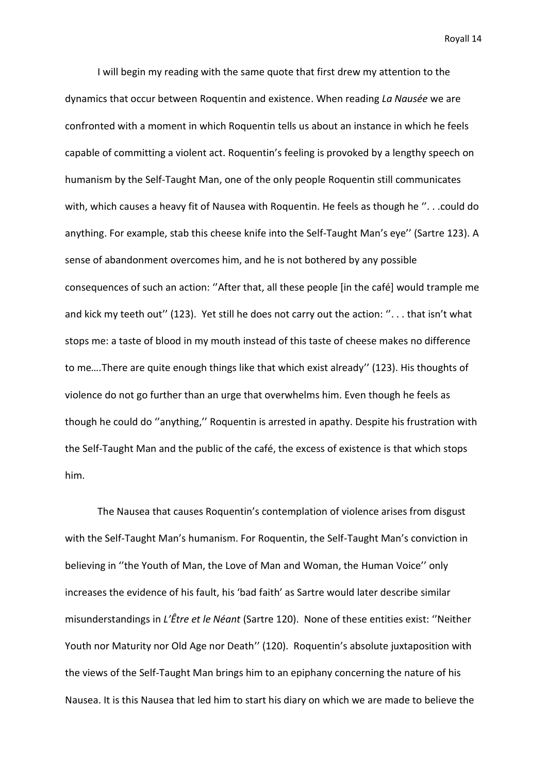I will begin my reading with the same quote that first drew my attention to the dynamics that occur between Roquentin and existence. When reading *La Nausée* we are confronted with a moment in which Roquentin tells us about an instance in which he feels capable of committing a violent act. Roquentin's feeling is provoked by a lengthy speech on humanism by the Self-Taught Man, one of the only people Roquentin still communicates with, which causes a heavy fit of Nausea with Roquentin. He feels as though he ''. . .could do anything. For example, stab this cheese knife into the Self-Taught Man's eye'' (Sartre 123). A sense of abandonment overcomes him, and he is not bothered by any possible consequences of such an action: ''After that, all these people [in the café] would trample me and kick my teeth out" (123). Yet still he does not carry out the action: "... that isn't what stops me: a taste of blood in my mouth instead of this taste of cheese makes no difference to me*….*There are quite enough things like that which exist already'' (123). His thoughts of violence do not go further than an urge that overwhelms him. Even though he feels as though he could do ''anything,'' Roquentin is arrested in apathy. Despite his frustration with the Self-Taught Man and the public of the café, the excess of existence is that which stops him.

The Nausea that causes Roquentin's contemplation of violence arises from disgust with the Self-Taught Man's humanism. For Roquentin, the Self-Taught Man's conviction in believing in ''the Youth of Man, the Love of Man and Woman, the Human Voice'' only increases the evidence of his fault, his 'bad faith' as Sartre would later describe similar misunderstandings in *L'Être et le Néant* (Sartre 120). None of these entities exist: ''Neither Youth nor Maturity nor Old Age nor Death'' (120). Roquentin's absolute juxtaposition with the views of the Self-Taught Man brings him to an epiphany concerning the nature of his Nausea. It is this Nausea that led him to start his diary on which we are made to believe the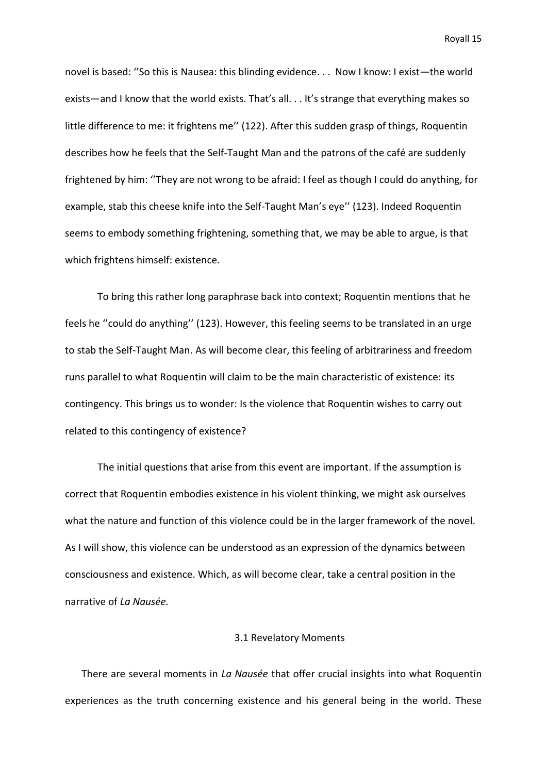novel is based: ''So this is Nausea: this blinding evidence. . . Now I know: I exist—the world exists—and I know that the world exists. That's all. . . It's strange that everything makes so little difference to me: it frightens me'' (122). After this sudden grasp of things, Roquentin describes how he feels that the Self-Taught Man and the patrons of the café are suddenly frightened by him: ''They are not wrong to be afraid: I feel as though I could do anything, for example, stab this cheese knife into the Self-Taught Man's eye'' (123). Indeed Roquentin seems to embody something frightening, something that, we may be able to argue, is that which frightens himself: existence.

To bring this rather long paraphrase back into context; Roquentin mentions that he feels he ''could do anything'' (123). However, this feeling seems to be translated in an urge to stab the Self-Taught Man. As will become clear, this feeling of arbitrariness and freedom runs parallel to what Roquentin will claim to be the main characteristic of existence: its contingency. This brings us to wonder: Is the violence that Roquentin wishes to carry out related to this contingency of existence?

The initial questions that arise from this event are important. If the assumption is correct that Roquentin embodies existence in his violent thinking, we might ask ourselves what the nature and function of this violence could be in the larger framework of the novel. As I will show, this violence can be understood as an expression of the dynamics between consciousness and existence. Which, as will become clear, take a central position in the narrative of *La Nausée.* 

## 3.1 Revelatory Moments

There are several moments in *La Nausée* that offer crucial insights into what Roquentin experiences as the truth concerning existence and his general being in the world. These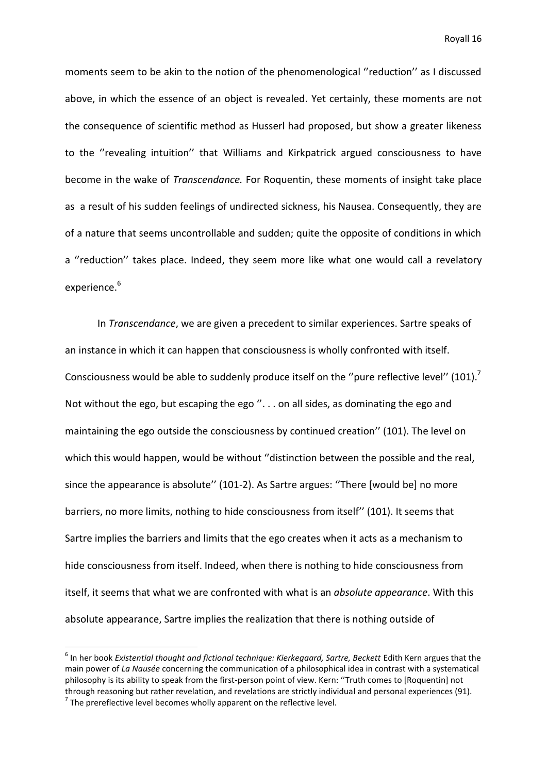moments seem to be akin to the notion of the phenomenological ''reduction'' as I discussed above, in which the essence of an object is revealed. Yet certainly, these moments are not the consequence of scientific method as Husserl had proposed, but show a greater likeness to the ''revealing intuition'' that Williams and Kirkpatrick argued consciousness to have become in the wake of *Transcendance.* For Roquentin, these moments of insight take place as a result of his sudden feelings of undirected sickness, his Nausea. Consequently, they are of a nature that seems uncontrollable and sudden; quite the opposite of conditions in which a ''reduction'' takes place. Indeed, they seem more like what one would call a revelatory experience. 6

In *Transcendance*, we are given a precedent to similar experiences. Sartre speaks of an instance in which it can happen that consciousness is wholly confronted with itself. Consciousness would be able to suddenly produce itself on the "pure reflective level" (101).<sup>7</sup> Not without the ego, but escaping the ego  $\%$ ... on all sides, as dominating the ego and maintaining the ego outside the consciousness by continued creation'' (101). The level on which this would happen, would be without ''distinction between the possible and the real, since the appearance is absolute'' (101-2). As Sartre argues: ''There [would be] no more barriers, no more limits, nothing to hide consciousness from itself'' (101). It seems that Sartre implies the barriers and limits that the ego creates when it acts as a mechanism to hide consciousness from itself. Indeed, when there is nothing to hide consciousness from itself, it seems that what we are confronted with what is an *absolute appearance*. With this absolute appearance, Sartre implies the realization that there is nothing outside of

**.** 

<sup>&</sup>lt;sup>6</sup> In her book *Existential thought and fictional technique: Kierkegaard, Sartre, Beckett Edith Kern argues that the* main power of *La Nausée* concerning the communication of a philosophical idea in contrast with a systematical philosophy is its ability to speak from the first-person point of view. Kern: ''Truth comes to [Roquentin] not through reasoning but rather revelation, and revelations are strictly individual and personal experiences (91).  $7$  The prereflective level becomes wholly apparent on the reflective level.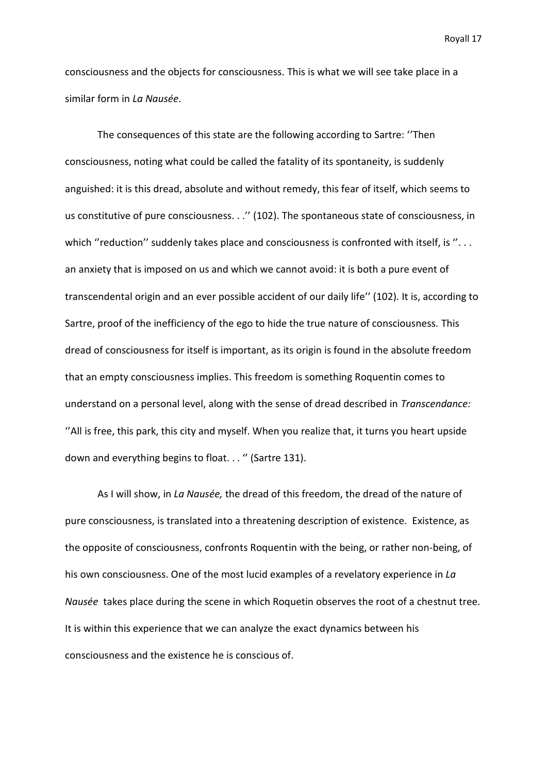consciousness and the objects for consciousness. This is what we will see take place in a similar form in *La Nausée*.

The consequences of this state are the following according to Sartre: ''Then consciousness, noting what could be called the fatality of its spontaneity, is suddenly anguished: it is this dread, absolute and without remedy, this fear of itself, which seems to us constitutive of pure consciousness. . .'' (102). The spontaneous state of consciousness, in which "reduction" suddenly takes place and consciousness is confronted with itself, is "... an anxiety that is imposed on us and which we cannot avoid: it is both a pure event of transcendental origin and an ever possible accident of our daily life'' (102). It is, according to Sartre, proof of the inefficiency of the ego to hide the true nature of consciousness. This dread of consciousness for itself is important, as its origin is found in the absolute freedom that an empty consciousness implies. This freedom is something Roquentin comes to understand on a personal level, along with the sense of dread described in *Transcendance:* ''All is free, this park, this city and myself. When you realize that, it turns you heart upside down and everything begins to float..." (Sartre 131).

As I will show, in *La Nausée,* the dread of this freedom, the dread of the nature of pure consciousness, is translated into a threatening description of existence. Existence, as the opposite of consciousness, confronts Roquentin with the being, or rather non-being, of his own consciousness. One of the most lucid examples of a revelatory experience in *La Nausée* takes place during the scene in which Roquetin observes the root of a chestnut tree. It is within this experience that we can analyze the exact dynamics between his consciousness and the existence he is conscious of.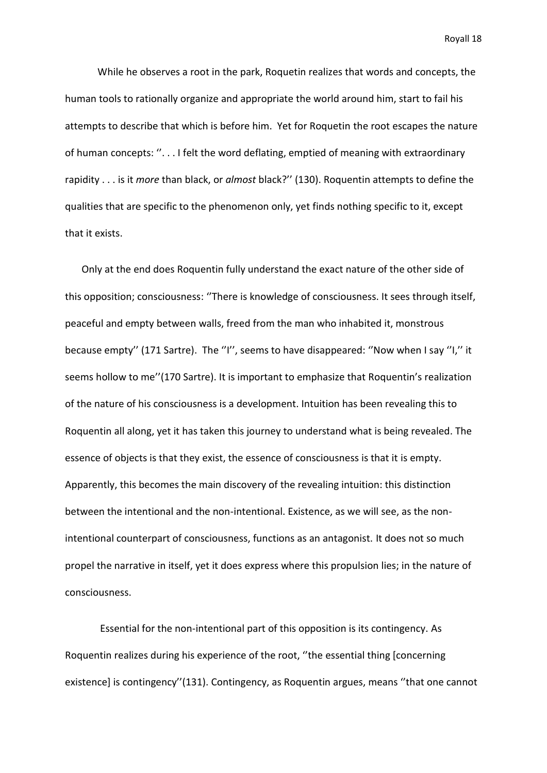While he observes a root in the park, Roquetin realizes that words and concepts, the human tools to rationally organize and appropriate the world around him, start to fail his attempts to describe that which is before him. Yet for Roquetin the root escapes the nature of human concepts: ''. . . I felt the word deflating, emptied of meaning with extraordinary rapidity . . . is it *more* than black, or *almost* black?'' (130). Roquentin attempts to define the qualities that are specific to the phenomenon only, yet finds nothing specific to it, except that it exists.

Only at the end does Roquentin fully understand the exact nature of the other side of this opposition; consciousness: ''There is knowledge of consciousness. It sees through itself, peaceful and empty between walls, freed from the man who inhabited it, monstrous because empty'' (171 Sartre). The ''I'', seems to have disappeared: ''Now when I say ''I,'' it seems hollow to me''(170 Sartre). It is important to emphasize that Roquentin's realization of the nature of his consciousness is a development. Intuition has been revealing this to Roquentin all along, yet it has taken this journey to understand what is being revealed. The essence of objects is that they exist, the essence of consciousness is that it is empty. Apparently, this becomes the main discovery of the revealing intuition: this distinction between the intentional and the non-intentional. Existence, as we will see, as the nonintentional counterpart of consciousness, functions as an antagonist. It does not so much propel the narrative in itself, yet it does express where this propulsion lies; in the nature of consciousness.

Essential for the non-intentional part of this opposition is its contingency. As Roquentin realizes during his experience of the root, ''the essential thing [concerning existence] is contingency''(131). Contingency, as Roquentin argues, means ''that one cannot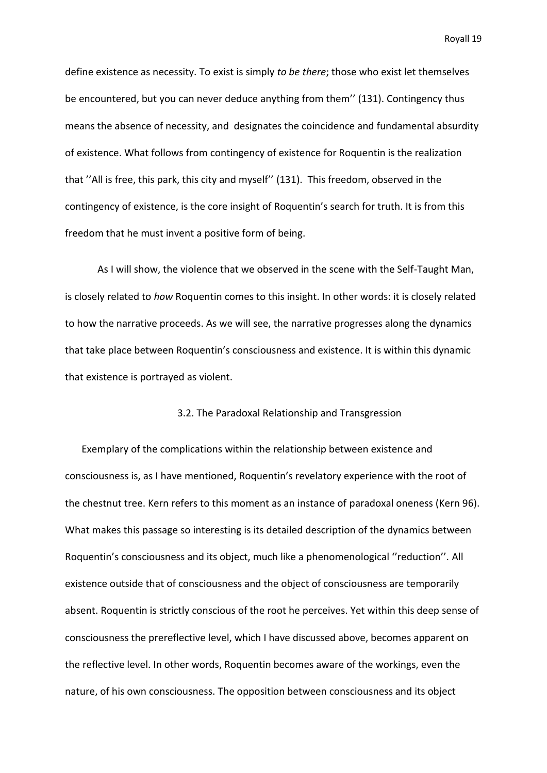define existence as necessity. To exist is simply *to be there*; those who exist let themselves be encountered, but you can never deduce anything from them'' (131). Contingency thus means the absence of necessity, and designates the coincidence and fundamental absurdity of existence. What follows from contingency of existence for Roquentin is the realization that ''All is free, this park, this city and myself'' (131). This freedom, observed in the contingency of existence, is the core insight of Roquentin's search for truth. It is from this freedom that he must invent a positive form of being.

As I will show, the violence that we observed in the scene with the Self-Taught Man, is closely related to *how* Roquentin comes to this insight. In other words: it is closely related to how the narrative proceeds. As we will see, the narrative progresses along the dynamics that take place between Roquentin's consciousness and existence. It is within this dynamic that existence is portrayed as violent.

#### 3.2. The Paradoxal Relationship and Transgression

Exemplary of the complications within the relationship between existence and consciousness is, as I have mentioned, Roquentin's revelatory experience with the root of the chestnut tree. Kern refers to this moment as an instance of paradoxal oneness (Kern 96). What makes this passage so interesting is its detailed description of the dynamics between Roquentin's consciousness and its object, much like a phenomenological ''reduction''. All existence outside that of consciousness and the object of consciousness are temporarily absent. Roquentin is strictly conscious of the root he perceives. Yet within this deep sense of consciousness the prereflective level, which I have discussed above, becomes apparent on the reflective level. In other words, Roquentin becomes aware of the workings, even the nature, of his own consciousness. The opposition between consciousness and its object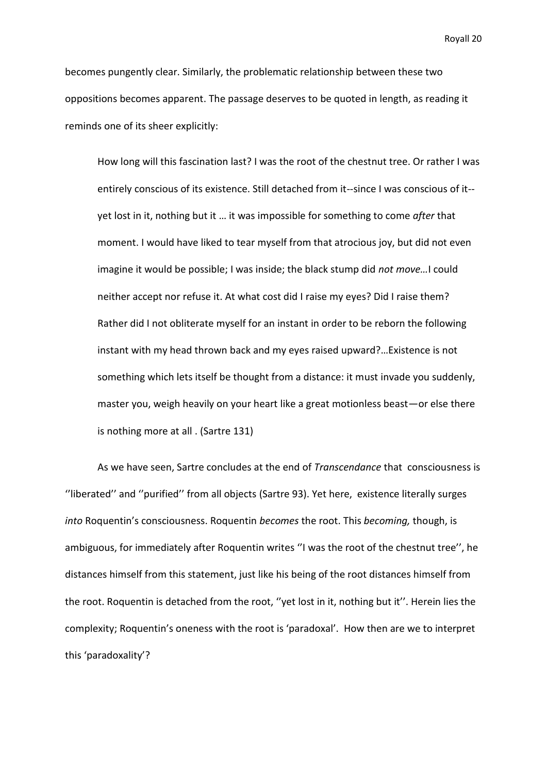becomes pungently clear. Similarly, the problematic relationship between these two oppositions becomes apparent. The passage deserves to be quoted in length, as reading it reminds one of its sheer explicitly:

How long will this fascination last? I was the root of the chestnut tree. Or rather I was entirely conscious of its existence. Still detached from it--since I was conscious of it- yet lost in it, nothing but it … it was impossible for something to come *after* that moment. I would have liked to tear myself from that atrocious joy, but did not even imagine it would be possible; I was inside; the black stump did *not move…*I could neither accept nor refuse it. At what cost did I raise my eyes? Did I raise them? Rather did I not obliterate myself for an instant in order to be reborn the following instant with my head thrown back and my eyes raised upward?…Existence is not something which lets itself be thought from a distance: it must invade you suddenly, master you, weigh heavily on your heart like a great motionless beast—or else there is nothing more at all . (Sartre 131)

As we have seen, Sartre concludes at the end of *Transcendance* that consciousness is ''liberated'' and ''purified'' from all objects (Sartre 93). Yet here, existence literally surges *into* Roquentin's consciousness. Roquentin *becomes* the root. This *becoming,* though, is ambiguous, for immediately after Roquentin writes ''I was the root of the chestnut tree'', he distances himself from this statement, just like his being of the root distances himself from the root. Roquentin is detached from the root, ''yet lost in it, nothing but it''. Herein lies the complexity; Roquentin's oneness with the root is 'paradoxal'. How then are we to interpret this 'paradoxality'?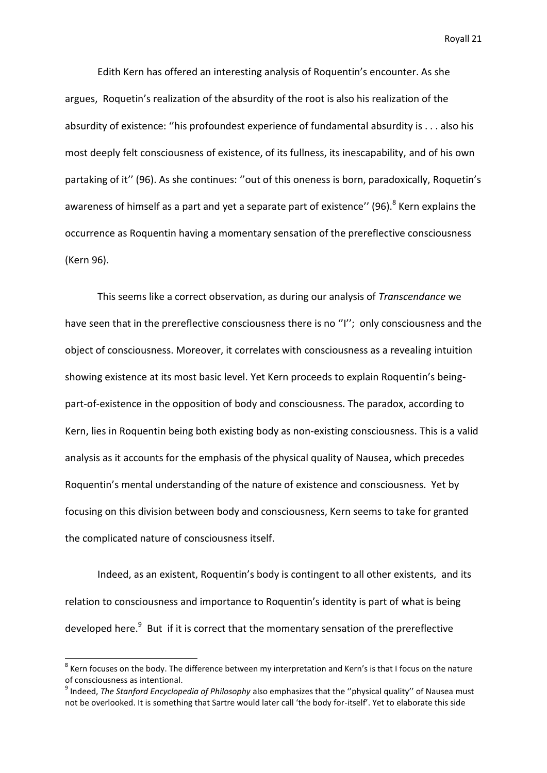Edith Kern has offered an interesting analysis of Roquentin's encounter. As she argues, Roquetin's realization of the absurdity of the root is also his realization of the absurdity of existence: ''his profoundest experience of fundamental absurdity is . . . also his most deeply felt consciousness of existence, of its fullness, its inescapability, and of his own partaking of it'' (96). As she continues: ''out of this oneness is born, paradoxically, Roquetin's awareness of himself as a part and yet a separate part of existence'' (96).<sup>8</sup> Kern explains the occurrence as Roquentin having a momentary sensation of the prereflective consciousness (Kern 96).

This seems like a correct observation, as during our analysis of *Transcendance* we have seen that in the prereflective consciousness there is no "I"; only consciousness and the object of consciousness. Moreover, it correlates with consciousness as a revealing intuition showing existence at its most basic level. Yet Kern proceeds to explain Roquentin's beingpart-of-existence in the opposition of body and consciousness. The paradox, according to Kern, lies in Roquentin being both existing body as non-existing consciousness. This is a valid analysis as it accounts for the emphasis of the physical quality of Nausea, which precedes Roquentin's mental understanding of the nature of existence and consciousness. Yet by focusing on this division between body and consciousness, Kern seems to take for granted the complicated nature of consciousness itself.

Indeed, as an existent, Roquentin's body is contingent to all other existents, and its relation to consciousness and importance to Roquentin's identity is part of what is being developed here.<sup>9</sup> But if it is correct that the momentary sensation of the prereflective

 $^8$  Kern focuses on the body. The difference between my interpretation and Kern's is that I focus on the nature of consciousness as intentional.

<sup>9</sup> Indeed, *The Stanford Encyclopedia of Philosophy* also emphasizes that the ''physical quality'' of Nausea must not be overlooked. It is something that Sartre would later call 'the body for-itself'. Yet to elaborate this side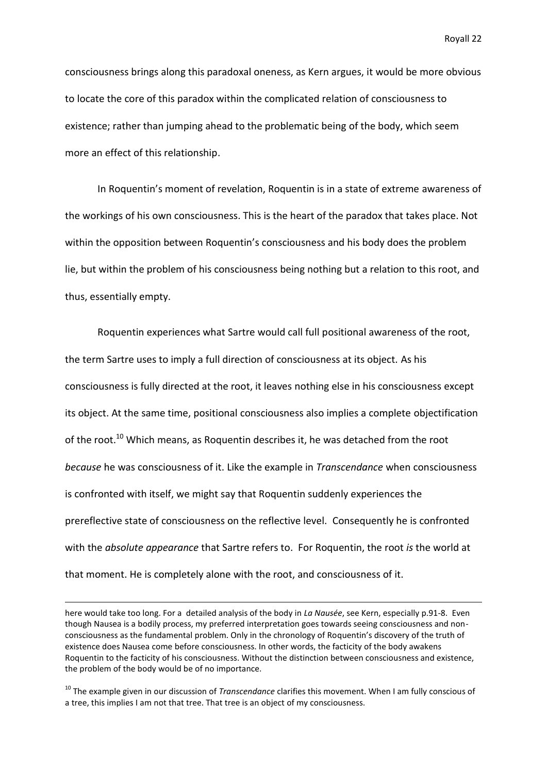consciousness brings along this paradoxal oneness, as Kern argues, it would be more obvious to locate the core of this paradox within the complicated relation of consciousness to existence; rather than jumping ahead to the problematic being of the body, which seem more an effect of this relationship.

In Roquentin's moment of revelation, Roquentin is in a state of extreme awareness of the workings of his own consciousness. This is the heart of the paradox that takes place. Not within the opposition between Roquentin's consciousness and his body does the problem lie, but within the problem of his consciousness being nothing but a relation to this root, and thus, essentially empty.

Roquentin experiences what Sartre would call full positional awareness of the root, the term Sartre uses to imply a full direction of consciousness at its object. As his consciousness is fully directed at the root, it leaves nothing else in his consciousness except its object. At the same time, positional consciousness also implies a complete objectification of the root.<sup>10</sup> Which means, as Roquentin describes it, he was detached from the root *because* he was consciousness of it. Like the example in *Transcendance* when consciousness is confronted with itself, we might say that Roquentin suddenly experiences the prereflective state of consciousness on the reflective level. Consequently he is confronted with the *absolute appearance* that Sartre refers to. For Roquentin, the root *is* the world at that moment. He is completely alone with the root, and consciousness of it.

here would take too long. For a detailed analysis of the body in *La Nausée*, see Kern, especially p.91-8. Even though Nausea is a bodily process, my preferred interpretation goes towards seeing consciousness and nonconsciousness as the fundamental problem. Only in the chronology of Roquentin's discovery of the truth of existence does Nausea come before consciousness. In other words, the facticity of the body awakens Roquentin to the facticity of his consciousness. Without the distinction between consciousness and existence, the problem of the body would be of no importance.

<sup>10</sup> The example given in our discussion of *Transcendance* clarifies this movement. When I am fully conscious of a tree, this implies I am not that tree. That tree is an object of my consciousness.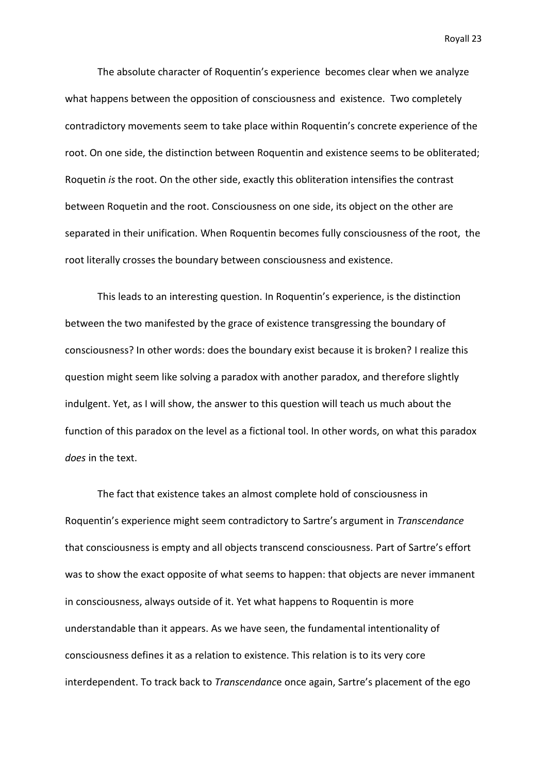The absolute character of Roquentin's experience becomes clear when we analyze what happens between the opposition of consciousness and existence. Two completely contradictory movements seem to take place within Roquentin's concrete experience of the root. On one side, the distinction between Roquentin and existence seems to be obliterated; Roquetin *is* the root. On the other side, exactly this obliteration intensifies the contrast between Roquetin and the root. Consciousness on one side, its object on the other are separated in their unification. When Roquentin becomes fully consciousness of the root, the root literally crosses the boundary between consciousness and existence.

This leads to an interesting question. In Roquentin's experience, is the distinction between the two manifested by the grace of existence transgressing the boundary of consciousness? In other words: does the boundary exist because it is broken? I realize this question might seem like solving a paradox with another paradox, and therefore slightly indulgent. Yet, as I will show, the answer to this question will teach us much about the function of this paradox on the level as a fictional tool. In other words, on what this paradox *does* in the text.

The fact that existence takes an almost complete hold of consciousness in Roquentin's experience might seem contradictory to Sartre's argument in *Transcendance*  that consciousness is empty and all objects transcend consciousness. Part of Sartre's effort was to show the exact opposite of what seems to happen: that objects are never immanent in consciousness, always outside of it. Yet what happens to Roquentin is more understandable than it appears. As we have seen, the fundamental intentionality of consciousness defines it as a relation to existence. This relation is to its very core interdependent. To track back to *Transcendanc*e once again, Sartre's placement of the ego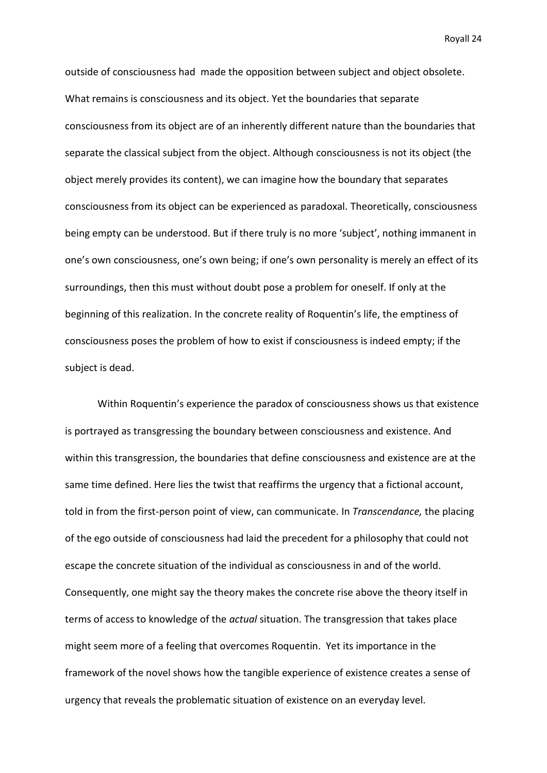outside of consciousness had made the opposition between subject and object obsolete. What remains is consciousness and its object. Yet the boundaries that separate consciousness from its object are of an inherently different nature than the boundaries that separate the classical subject from the object. Although consciousness is not its object (the object merely provides its content), we can imagine how the boundary that separates consciousness from its object can be experienced as paradoxal. Theoretically, consciousness being empty can be understood. But if there truly is no more 'subject', nothing immanent in one's own consciousness, one's own being; if one's own personality is merely an effect of its surroundings, then this must without doubt pose a problem for oneself. If only at the beginning of this realization. In the concrete reality of Roquentin's life, the emptiness of consciousness poses the problem of how to exist if consciousness is indeed empty; if the subject is dead.

Within Roquentin's experience the paradox of consciousness shows us that existence is portrayed as transgressing the boundary between consciousness and existence. And within this transgression, the boundaries that define consciousness and existence are at the same time defined. Here lies the twist that reaffirms the urgency that a fictional account, told in from the first-person point of view, can communicate. In *Transcendance,* the placing of the ego outside of consciousness had laid the precedent for a philosophy that could not escape the concrete situation of the individual as consciousness in and of the world. Consequently, one might say the theory makes the concrete rise above the theory itself in terms of access to knowledge of the *actual* situation. The transgression that takes place might seem more of a feeling that overcomes Roquentin. Yet its importance in the framework of the novel shows how the tangible experience of existence creates a sense of urgency that reveals the problematic situation of existence on an everyday level.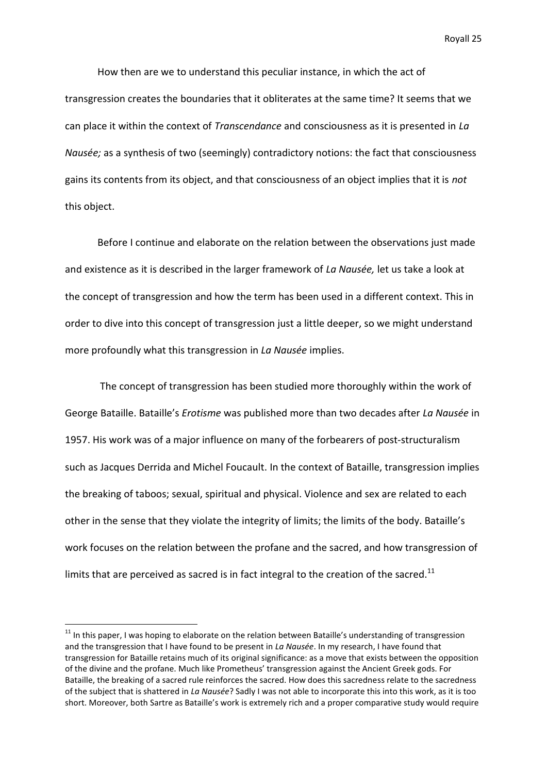How then are we to understand this peculiar instance, in which the act of transgression creates the boundaries that it obliterates at the same time? It seems that we can place it within the context of *Transcendance* and consciousness as it is presented in *La Nausée;* as a synthesis of two (seemingly) contradictory notions: the fact that consciousness gains its contents from its object, and that consciousness of an object implies that it is *not*  this object.

Before I continue and elaborate on the relation between the observations just made and existence as it is described in the larger framework of *La Nausée,* let us take a look at the concept of transgression and how the term has been used in a different context. This in order to dive into this concept of transgression just a little deeper, so we might understand more profoundly what this transgression in *La Nausée* implies.

The concept of transgression has been studied more thoroughly within the work of George Bataille. Bataille's *Erotisme* was published more than two decades after *La Nausée* in 1957. His work was of a major influence on many of the forbearers of post-structuralism such as Jacques Derrida and Michel Foucault. In the context of Bataille, transgression implies the breaking of taboos; sexual, spiritual and physical. Violence and sex are related to each other in the sense that they violate the integrity of limits; the limits of the body. Bataille's work focuses on the relation between the profane and the sacred, and how transgression of limits that are perceived as sacred is in fact integral to the creation of the sacred.<sup>11</sup>

 $11$  In this paper, I was hoping to elaborate on the relation between Bataille's understanding of transgression and the transgression that I have found to be present in *La Nausée*. In my research, I have found that transgression for Bataille retains much of its original significance: as a move that exists between the opposition of the divine and the profane. Much like Prometheus' transgression against the Ancient Greek gods. For Bataille, the breaking of a sacred rule reinforces the sacred. How does this sacredness relate to the sacredness of the subject that is shattered in *La Nausée*? Sadly I was not able to incorporate this into this work, as it is too short. Moreover, both Sartre as Bataille's work is extremely rich and a proper comparative study would require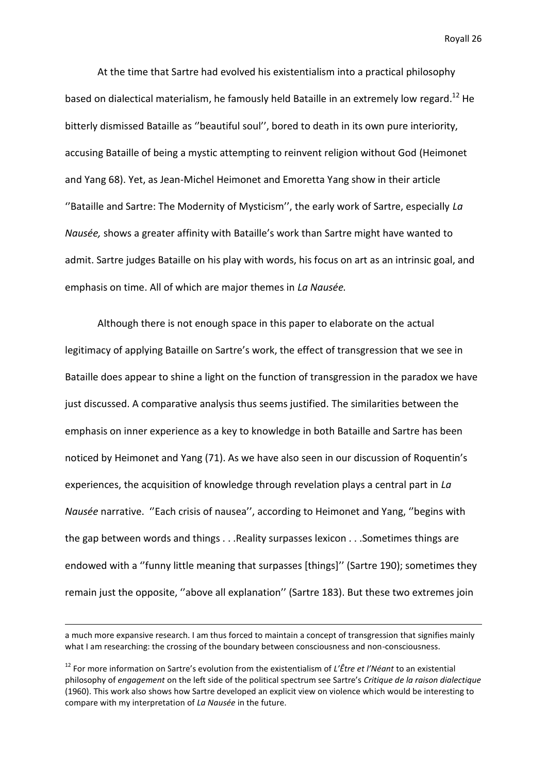At the time that Sartre had evolved his existentialism into a practical philosophy based on dialectical materialism, he famously held Bataille in an extremely low regard.<sup>12</sup> He bitterly dismissed Bataille as ''beautiful soul'', bored to death in its own pure interiority, accusing Bataille of being a mystic attempting to reinvent religion without God (Heimonet and Yang 68). Yet, as Jean-Michel Heimonet and Emoretta Yang show in their article ''Bataille and Sartre: The Modernity of Mysticism'', the early work of Sartre, especially *La Nausée,* shows a greater affinity with Bataille's work than Sartre might have wanted to admit. Sartre judges Bataille on his play with words, his focus on art as an intrinsic goal, and emphasis on time. All of which are major themes in *La Nausée.* 

Although there is not enough space in this paper to elaborate on the actual legitimacy of applying Bataille on Sartre's work, the effect of transgression that we see in Bataille does appear to shine a light on the function of transgression in the paradox we have just discussed. A comparative analysis thus seems justified. The similarities between the emphasis on inner experience as a key to knowledge in both Bataille and Sartre has been noticed by Heimonet and Yang (71). As we have also seen in our discussion of Roquentin's experiences, the acquisition of knowledge through revelation plays a central part in *La Nausée* narrative. ''Each crisis of nausea'', according to Heimonet and Yang, ''begins with the gap between words and things . . .Reality surpasses lexicon . . .Sometimes things are endowed with a ''funny little meaning that surpasses [things]'' (Sartre 190); sometimes they remain just the opposite, ''above all explanation'' (Sartre 183). But these two extremes join

a much more expansive research. I am thus forced to maintain a concept of transgression that signifies mainly what I am researching: the crossing of the boundary between consciousness and non-consciousness.

<sup>12</sup> For more information on Sartre's evolution from the existentialism of *L'Être et l'Néant* to an existential philosophy of *engagement* on the left side of the political spectrum see Sartre's *Critique de la raison dialectique* (1960). This work also shows how Sartre developed an explicit view on violence which would be interesting to compare with my interpretation of *La Nausée* in the future.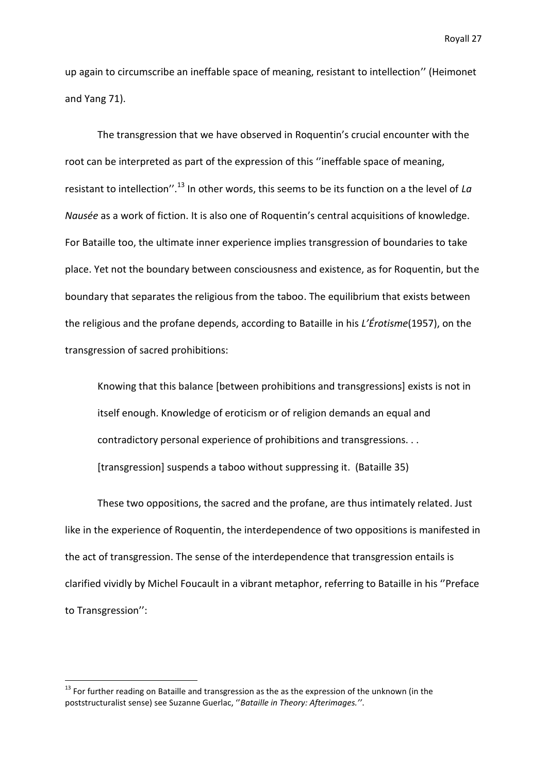up again to circumscribe an ineffable space of meaning, resistant to intellection'' (Heimonet and Yang 71).

The transgression that we have observed in Roquentin's crucial encounter with the root can be interpreted as part of the expression of this ''ineffable space of meaning, resistant to intellection''.<sup>13</sup> In other words, this seems to be its function on a the level of *La Nausée* as a work of fiction. It is also one of Roquentin's central acquisitions of knowledge. For Bataille too, the ultimate inner experience implies transgression of boundaries to take place. Yet not the boundary between consciousness and existence, as for Roquentin, but the boundary that separates the religious from the taboo. The equilibrium that exists between the religious and the profane depends, according to Bataille in his *L'Érotisme*(1957), on the transgression of sacred prohibitions:

Knowing that this balance [between prohibitions and transgressions] exists is not in itself enough. Knowledge of eroticism or of religion demands an equal and contradictory personal experience of prohibitions and transgressions. . . [transgression] suspends a taboo without suppressing it. (Bataille 35)

These two oppositions, the sacred and the profane, are thus intimately related. Just like in the experience of Roquentin, the interdependence of two oppositions is manifested in the act of transgression. The sense of the interdependence that transgression entails is clarified vividly by Michel Foucault in a vibrant metaphor, referring to Bataille in his ''Preface to Transgression'':

 $13$  For further reading on Bataille and transgression as the as the expression of the unknown (in the poststructuralist sense) see Suzanne Guerlac, ''*Bataille in Theory: Afterimages.''*.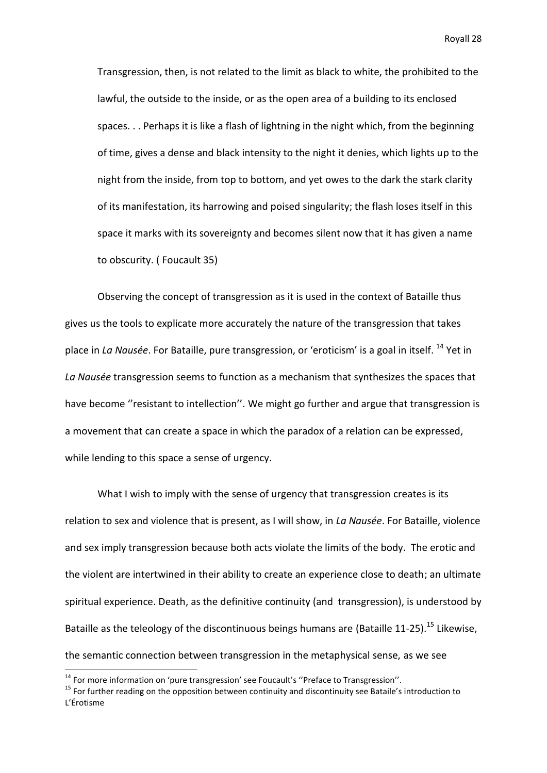Transgression, then, is not related to the limit as black to white, the prohibited to the lawful, the outside to the inside, or as the open area of a building to its enclosed spaces. . . Perhaps it is like a flash of lightning in the night which, from the beginning of time, gives a dense and black intensity to the night it denies, which lights up to the night from the inside, from top to bottom, and yet owes to the dark the stark clarity of its manifestation, its harrowing and poised singularity; the flash loses itself in this space it marks with its sovereignty and becomes silent now that it has given a name to obscurity. ( Foucault 35)

Observing the concept of transgression as it is used in the context of Bataille thus gives us the tools to explicate more accurately the nature of the transgression that takes place in *La Nausée*. For Bataille, pure transgression, or 'eroticism' is a goal in itself. <sup>14</sup> Yet in *La Nausée* transgression seems to function as a mechanism that synthesizes the spaces that have become "resistant to intellection". We might go further and argue that transgression is a movement that can create a space in which the paradox of a relation can be expressed, while lending to this space a sense of urgency.

What I wish to imply with the sense of urgency that transgression creates is its relation to sex and violence that is present, as I will show, in *La Nausée*. For Bataille, violence and sex imply transgression because both acts violate the limits of the body. The erotic and the violent are intertwined in their ability to create an experience close to death; an ultimate spiritual experience. Death, as the definitive continuity (and transgression), is understood by Bataille as the teleology of the discontinuous beings humans are (Bataille 11-25).<sup>15</sup> Likewise, the semantic connection between transgression in the metaphysical sense, as we see

**.** 

 $14$  For more information on 'pure transgression' see Foucault's "Preface to Transgression".

<sup>&</sup>lt;sup>15</sup> For further reading on the opposition between continuity and discontinuity see Bataile's introduction to L'Érotisme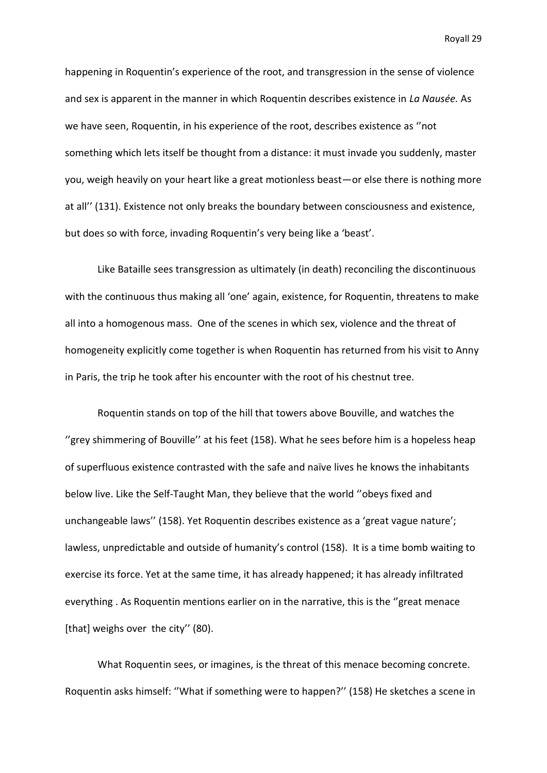happening in Roquentin's experience of the root, and transgression in the sense of violence and sex is apparent in the manner in which Roquentin describes existence in *La Nausée.* As we have seen, Roquentin, in his experience of the root, describes existence as ''not something which lets itself be thought from a distance: it must invade you suddenly, master you, weigh heavily on your heart like a great motionless beast—or else there is nothing more at all'' (131). Existence not only breaks the boundary between consciousness and existence, but does so with force, invading Roquentin's very being like a 'beast'.

Like Bataille sees transgression as ultimately (in death) reconciling the discontinuous with the continuous thus making all 'one' again, existence, for Roquentin, threatens to make all into a homogenous mass. One of the scenes in which sex, violence and the threat of homogeneity explicitly come together is when Roquentin has returned from his visit to Anny in Paris, the trip he took after his encounter with the root of his chestnut tree.

Roquentin stands on top of the hill that towers above Bouville, and watches the ''grey shimmering of Bouville'' at his feet (158). What he sees before him is a hopeless heap of superfluous existence contrasted with the safe and naïve lives he knows the inhabitants below live. Like the Self-Taught Man, they believe that the world ''obeys fixed and unchangeable laws'' (158). Yet Roquentin describes existence as a 'great vague nature'; lawless, unpredictable and outside of humanity's control (158). It is a time bomb waiting to exercise its force. Yet at the same time, it has already happened; it has already infiltrated everything . As Roquentin mentions earlier on in the narrative, this is the ''great menace [that] weighs over the city" (80).

What Roquentin sees, or imagines, is the threat of this menace becoming concrete. Roquentin asks himself: ''What if something were to happen?'' (158) He sketches a scene in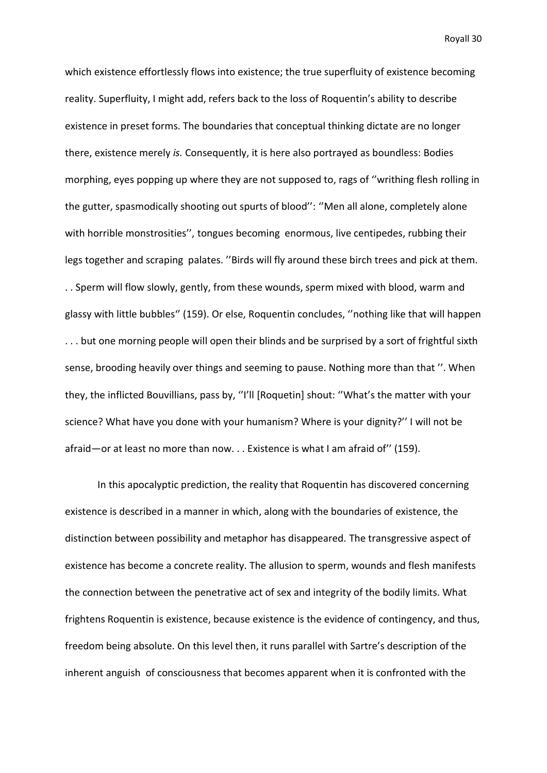which existence effortlessly flows into existence; the true superfluity of existence becoming reality. Superfluity, I might add, refers back to the loss of Roquentin's ability to describe existence in preset forms. The boundaries that conceptual thinking dictate are no longer there, existence merely *is.* Consequently, it is here also portrayed as boundless: Bodies morphing, eyes popping up where they are not supposed to, rags of ''writhing flesh rolling in the gutter, spasmodically shooting out spurts of blood'': ''Men all alone, completely alone with horrible monstrosities'', tongues becoming enormous, live centipedes, rubbing their legs together and scraping palates. ''Birds will fly around these birch trees and pick at them. . . Sperm will flow slowly, gently, from these wounds, sperm mixed with blood, warm and glassy with little bubbles'' (159). Or else, Roquentin concludes, ''nothing like that will happen ... but one morning people will open their blinds and be surprised by a sort of frightful sixth sense, brooding heavily over things and seeming to pause. Nothing more than that ''. When they, the inflicted Bouvillians, pass by, ''I'll [Roquetin] shout: ''What's the matter with your science? What have you done with your humanism? Where is your dignity?'' I will not be afraid—or at least no more than now. . . Existence is what I am afraid of'' (159).

In this apocalyptic prediction, the reality that Roquentin has discovered concerning existence is described in a manner in which, along with the boundaries of existence, the distinction between possibility and metaphor has disappeared. The transgressive aspect of existence has become a concrete reality. The allusion to sperm, wounds and flesh manifests the connection between the penetrative act of sex and integrity of the bodily limits. What frightens Roquentin is existence, because existence is the evidence of contingency, and thus, freedom being absolute. On this level then, it runs parallel with Sartre's description of the inherent anguish of consciousness that becomes apparent when it is confronted with the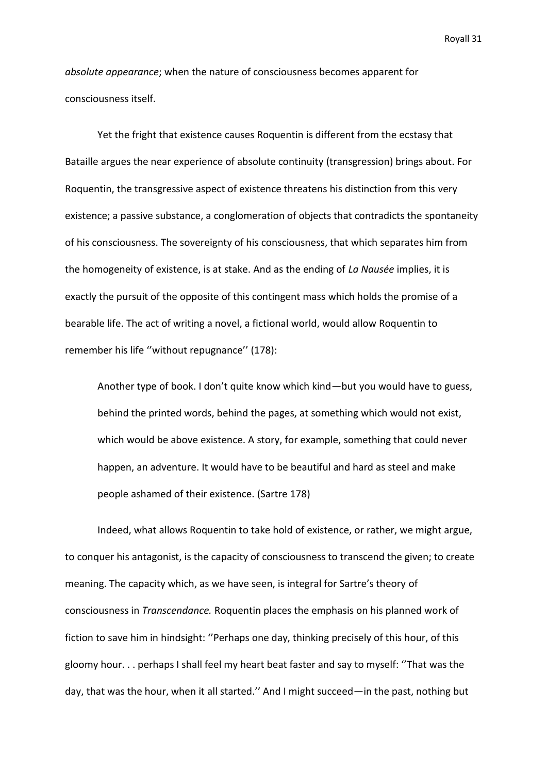*absolute appearance*; when the nature of consciousness becomes apparent for consciousness itself.

Yet the fright that existence causes Roquentin is different from the ecstasy that Bataille argues the near experience of absolute continuity (transgression) brings about. For Roquentin, the transgressive aspect of existence threatens his distinction from this very existence; a passive substance, a conglomeration of objects that contradicts the spontaneity of his consciousness. The sovereignty of his consciousness, that which separates him from the homogeneity of existence, is at stake. And as the ending of *La Nausée* implies, it is exactly the pursuit of the opposite of this contingent mass which holds the promise of a bearable life. The act of writing a novel, a fictional world, would allow Roquentin to remember his life ''without repugnance'' (178):

Another type of book. I don't quite know which kind—but you would have to guess, behind the printed words, behind the pages, at something which would not exist, which would be above existence. A story, for example, something that could never happen, an adventure. It would have to be beautiful and hard as steel and make people ashamed of their existence. (Sartre 178)

Indeed, what allows Roquentin to take hold of existence, or rather, we might argue, to conquer his antagonist, is the capacity of consciousness to transcend the given; to create meaning. The capacity which, as we have seen, is integral for Sartre's theory of consciousness in *Transcendance.* Roquentin places the emphasis on his planned work of fiction to save him in hindsight: ''Perhaps one day, thinking precisely of this hour, of this gloomy hour. . . perhaps I shall feel my heart beat faster and say to myself: ''That was the day, that was the hour, when it all started.'' And I might succeed—in the past, nothing but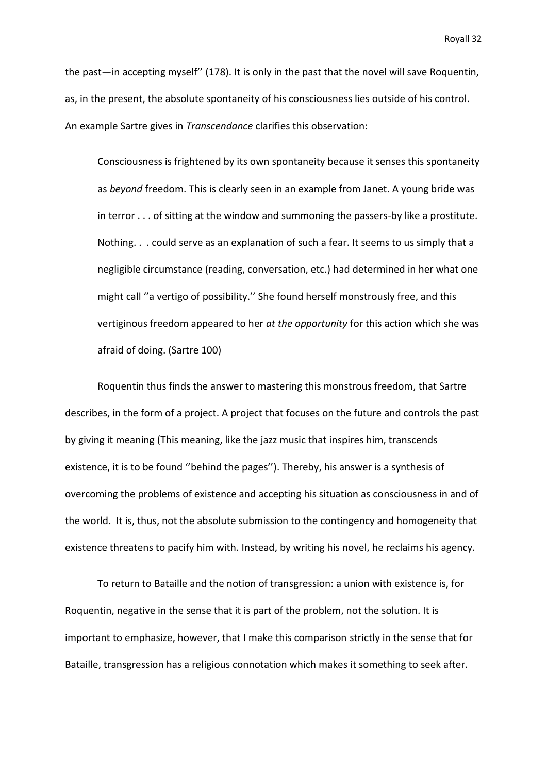the past—in accepting myself'' (178). It is only in the past that the novel will save Roquentin, as, in the present, the absolute spontaneity of his consciousness lies outside of his control. An example Sartre gives in *Transcendance* clarifies this observation:

Consciousness is frightened by its own spontaneity because it senses this spontaneity as *beyond* freedom. This is clearly seen in an example from Janet. A young bride was in terror . . . of sitting at the window and summoning the passers-by like a prostitute. Nothing. . . could serve as an explanation of such a fear. It seems to us simply that a negligible circumstance (reading, conversation, etc.) had determined in her what one might call ''a vertigo of possibility.'' She found herself monstrously free, and this vertiginous freedom appeared to her *at the opportunity* for this action which she was afraid of doing. (Sartre 100)

Roquentin thus finds the answer to mastering this monstrous freedom, that Sartre describes, in the form of a project. A project that focuses on the future and controls the past by giving it meaning (This meaning, like the jazz music that inspires him, transcends existence, it is to be found ''behind the pages''). Thereby, his answer is a synthesis of overcoming the problems of existence and accepting his situation as consciousness in and of the world. It is, thus, not the absolute submission to the contingency and homogeneity that existence threatens to pacify him with. Instead, by writing his novel, he reclaims his agency.

To return to Bataille and the notion of transgression: a union with existence is, for Roquentin, negative in the sense that it is part of the problem, not the solution. It is important to emphasize, however, that I make this comparison strictly in the sense that for Bataille, transgression has a religious connotation which makes it something to seek after.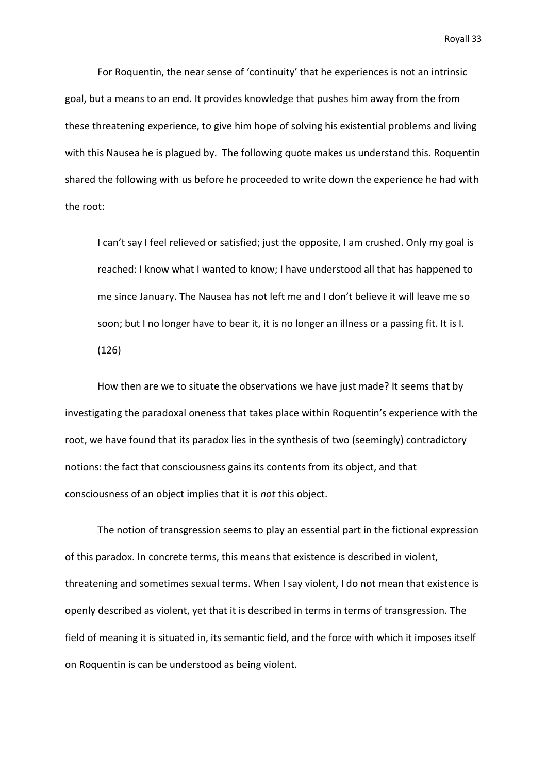For Roquentin, the near sense of 'continuity' that he experiences is not an intrinsic goal, but a means to an end. It provides knowledge that pushes him away from the from these threatening experience, to give him hope of solving his existential problems and living with this Nausea he is plagued by. The following quote makes us understand this. Roquentin shared the following with us before he proceeded to write down the experience he had with the root:

I can't say I feel relieved or satisfied; just the opposite, I am crushed. Only my goal is reached: I know what I wanted to know; I have understood all that has happened to me since January. The Nausea has not left me and I don't believe it will leave me so soon; but I no longer have to bear it, it is no longer an illness or a passing fit. It is I. (126)

How then are we to situate the observations we have just made? It seems that by investigating the paradoxal oneness that takes place within Roquentin's experience with the root, we have found that its paradox lies in the synthesis of two (seemingly) contradictory notions: the fact that consciousness gains its contents from its object, and that consciousness of an object implies that it is *not* this object.

The notion of transgression seems to play an essential part in the fictional expression of this paradox. In concrete terms, this means that existence is described in violent, threatening and sometimes sexual terms. When I say violent, I do not mean that existence is openly described as violent, yet that it is described in terms in terms of transgression. The field of meaning it is situated in, its semantic field, and the force with which it imposes itself on Roquentin is can be understood as being violent.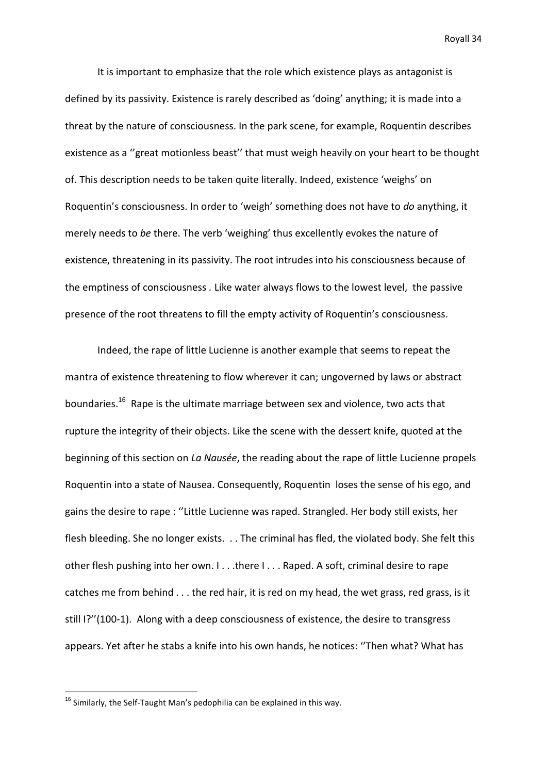It is important to emphasize that the role which existence plays as antagonist is defined by its passivity. Existence is rarely described as 'doing' anything; it is made into a threat by the nature of consciousness. In the park scene, for example, Roquentin describes existence as a ''great motionless beast'' that must weigh heavily on your heart to be thought of. This description needs to be taken quite literally. Indeed, existence 'weighs' on Roquentin's consciousness. In order to 'weigh' something does not have to *do* anything, it merely needs to *be* there. The verb 'weighing' thus excellently evokes the nature of existence, threatening in its passivity. The root intrudes into his consciousness because of the emptiness of consciousness *.* Like water always flows to the lowest level, the passive presence of the root threatens to fill the empty activity of Roquentin's consciousness*.*

Indeed, the rape of little Lucienne is another example that seems to repeat the mantra of existence threatening to flow wherever it can; ungoverned by laws or abstract boundaries.<sup>16</sup> Rape is the ultimate marriage between sex and violence, two acts that rupture the integrity of their objects. Like the scene with the dessert knife, quoted at the beginning of this section on *La Nausée*, the reading about the rape of little Lucienne propels Roquentin into a state of Nausea. Consequently, Roquentin loses the sense of his ego, and gains the desire to rape : ''Little Lucienne was raped. Strangled. Her body still exists, her flesh bleeding. She no longer exists. . . The criminal has fled, the violated body. She felt this other flesh pushing into her own. I . . .there I . . . Raped. A soft, criminal desire to rape catches me from behind . . . the red hair, it is red on my head, the wet grass, red grass, is it still I?''(100-1). Along with a deep consciousness of existence, the desire to transgress appears. Yet after he stabs a knife into his own hands, he notices: ''Then what? What has

**.** 

 $^{16}$  Similarly, the Self-Taught Man's pedophilia can be explained in this way.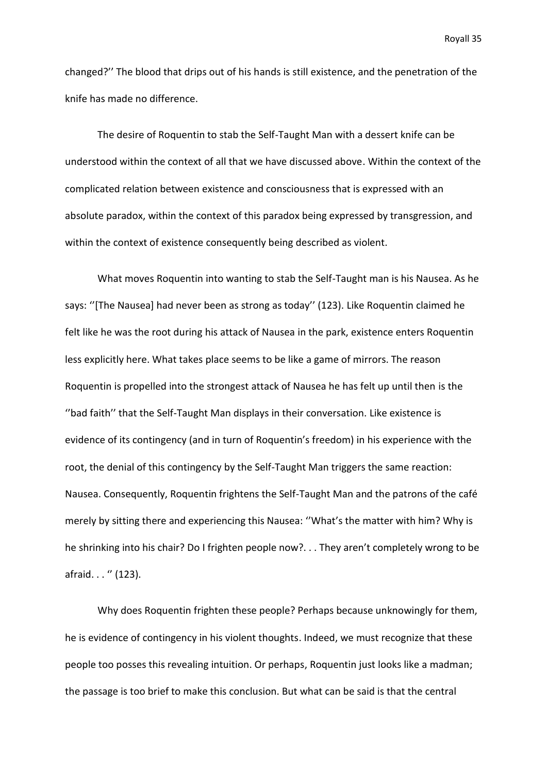changed?'' The blood that drips out of his hands is still existence, and the penetration of the knife has made no difference.

The desire of Roquentin to stab the Self-Taught Man with a dessert knife can be understood within the context of all that we have discussed above. Within the context of the complicated relation between existence and consciousness that is expressed with an absolute paradox, within the context of this paradox being expressed by transgression, and within the context of existence consequently being described as violent.

What moves Roquentin into wanting to stab the Self-Taught man is his Nausea. As he says: ''[The Nausea] had never been as strong as today'' (123). Like Roquentin claimed he felt like he was the root during his attack of Nausea in the park, existence enters Roquentin less explicitly here. What takes place seems to be like a game of mirrors. The reason Roquentin is propelled into the strongest attack of Nausea he has felt up until then is the ''bad faith'' that the Self-Taught Man displays in their conversation. Like existence is evidence of its contingency (and in turn of Roquentin's freedom) in his experience with the root, the denial of this contingency by the Self-Taught Man triggers the same reaction: Nausea. Consequently, Roquentin frightens the Self-Taught Man and the patrons of the café merely by sitting there and experiencing this Nausea: ''What's the matter with him? Why is he shrinking into his chair? Do I frighten people now?. . . They aren't completely wrong to be afraid. . . " (123).

Why does Roquentin frighten these people? Perhaps because unknowingly for them, he is evidence of contingency in his violent thoughts. Indeed, we must recognize that these people too posses this revealing intuition. Or perhaps, Roquentin just looks like a madman; the passage is too brief to make this conclusion. But what can be said is that the central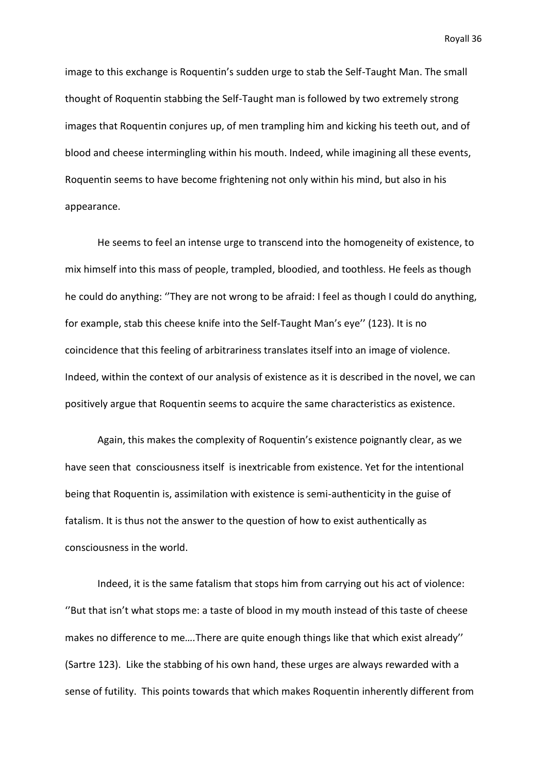image to this exchange is Roquentin's sudden urge to stab the Self-Taught Man. The small thought of Roquentin stabbing the Self-Taught man is followed by two extremely strong images that Roquentin conjures up, of men trampling him and kicking his teeth out, and of blood and cheese intermingling within his mouth. Indeed, while imagining all these events, Roquentin seems to have become frightening not only within his mind, but also in his appearance.

He seems to feel an intense urge to transcend into the homogeneity of existence, to mix himself into this mass of people, trampled, bloodied, and toothless. He feels as though he could do anything: ''They are not wrong to be afraid: I feel as though I could do anything, for example, stab this cheese knife into the Self-Taught Man's eye'' (123). It is no coincidence that this feeling of arbitrariness translates itself into an image of violence. Indeed, within the context of our analysis of existence as it is described in the novel, we can positively argue that Roquentin seems to acquire the same characteristics as existence.

Again, this makes the complexity of Roquentin's existence poignantly clear, as we have seen that consciousness itself is inextricable from existence. Yet for the intentional being that Roquentin is, assimilation with existence is semi-authenticity in the guise of fatalism. It is thus not the answer to the question of how to exist authentically as consciousness in the world.

Indeed, it is the same fatalism that stops him from carrying out his act of violence: ''But that isn't what stops me: a taste of blood in my mouth instead of this taste of cheese makes no difference to me*….*There are quite enough things like that which exist already'' (Sartre 123). Like the stabbing of his own hand, these urges are always rewarded with a sense of futility. This points towards that which makes Roquentin inherently different from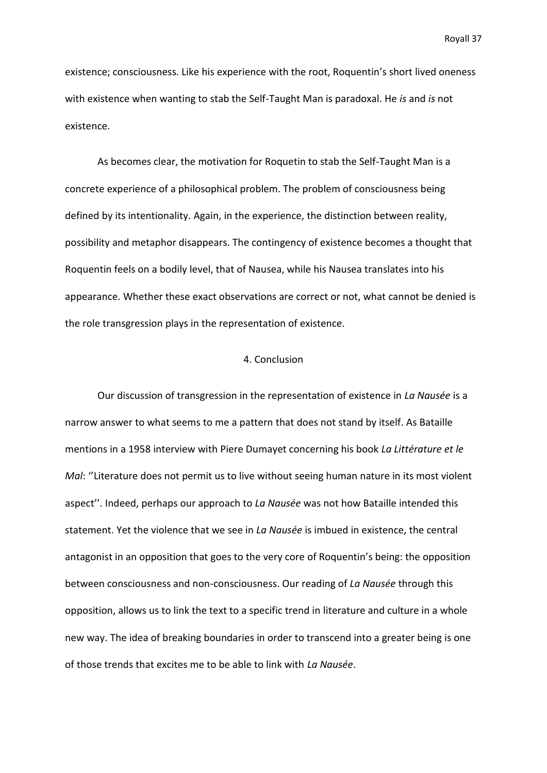existence; consciousness. Like his experience with the root, Roquentin's short lived oneness with existence when wanting to stab the Self-Taught Man is paradoxal. He *is* and *is* not existence.

As becomes clear, the motivation for Roquetin to stab the Self-Taught Man is a concrete experience of a philosophical problem. The problem of consciousness being defined by its intentionality. Again, in the experience, the distinction between reality, possibility and metaphor disappears. The contingency of existence becomes a thought that Roquentin feels on a bodily level, that of Nausea, while his Nausea translates into his appearance. Whether these exact observations are correct or not, what cannot be denied is the role transgression plays in the representation of existence.

## 4. Conclusion

Our discussion of transgression in the representation of existence in *La Nausée* is a narrow answer to what seems to me a pattern that does not stand by itself. As Bataille mentions in a 1958 interview with Piere Dumayet concerning his book *La Littérature et le Mal*: "Literature does not permit us to live without seeing human nature in its most violent aspect''. Indeed, perhaps our approach to *La Nausée* was not how Bataille intended this statement. Yet the violence that we see in *La Nausée* is imbued in existence, the central antagonist in an opposition that goes to the very core of Roquentin's being: the opposition between consciousness and non-consciousness. Our reading of *La Nausée* through this opposition, allows us to link the text to a specific trend in literature and culture in a whole new way. The idea of breaking boundaries in order to transcend into a greater being is one of those trends that excites me to be able to link with *La Nausée*.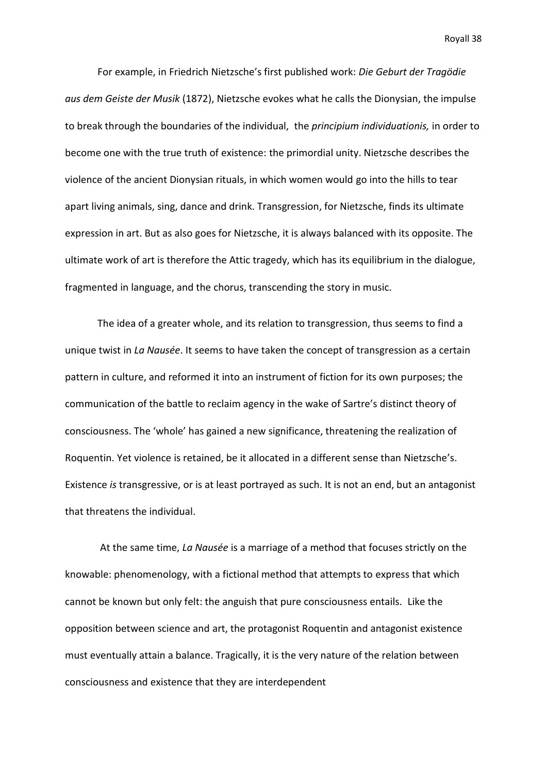For example, in Friedrich Nietzsche's first published work: *Die Geburt der Tragödie aus dem Geiste der Musik* (1872), Nietzsche evokes what he calls the Dionysian, the impulse to break through the boundaries of the individual, the *principium individuationis,* in order to become one with the true truth of existence: the primordial unity. Nietzsche describes the violence of the ancient Dionysian rituals, in which women would go into the hills to tear apart living animals, sing, dance and drink. Transgression, for Nietzsche, finds its ultimate expression in art. But as also goes for Nietzsche, it is always balanced with its opposite. The ultimate work of art is therefore the Attic tragedy, which has its equilibrium in the dialogue, fragmented in language, and the chorus, transcending the story in music.

The idea of a greater whole, and its relation to transgression, thus seems to find a unique twist in *La Nausée*. It seems to have taken the concept of transgression as a certain pattern in culture, and reformed it into an instrument of fiction for its own purposes; the communication of the battle to reclaim agency in the wake of Sartre's distinct theory of consciousness. The 'whole' has gained a new significance, threatening the realization of Roquentin. Yet violence is retained, be it allocated in a different sense than Nietzsche's. Existence *is* transgressive, or is at least portrayed as such. It is not an end, but an antagonist that threatens the individual.

At the same time, *La Nausée* is a marriage of a method that focuses strictly on the knowable: phenomenology, with a fictional method that attempts to express that which cannot be known but only felt: the anguish that pure consciousness entails. Like the opposition between science and art, the protagonist Roquentin and antagonist existence must eventually attain a balance. Tragically, it is the very nature of the relation between consciousness and existence that they are interdependent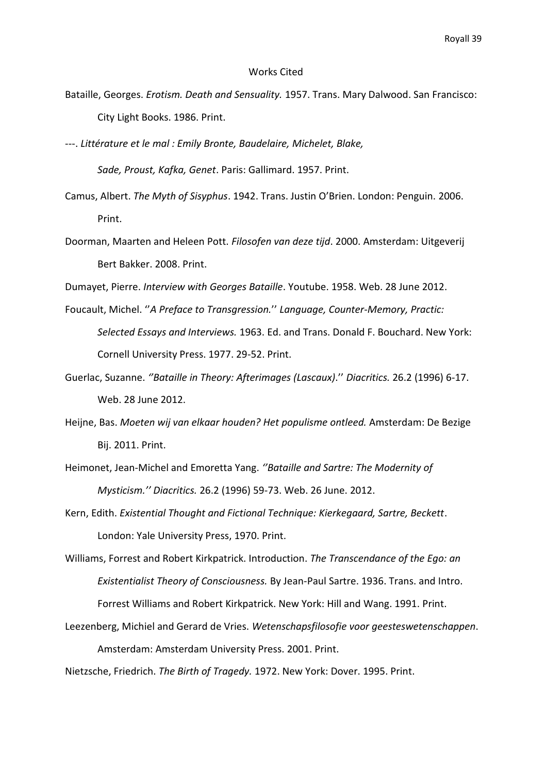#### Works Cited

- Bataille, Georges. *Erotism. Death and Sensuality.* 1957. Trans. Mary Dalwood. San Francisco: City Light Books. 1986. Print.
- ---. *Littérature et le mal : Emily Bronte, Baudelaire, Michelet, Blake,*

*Sade, Proust, Kafka, Genet*. Paris: Gallimard. 1957. Print.

- Camus, Albert. *The Myth of Sisyphus*. 1942. Trans. Justin O'Brien. London: Penguin. 2006. Print.
- Doorman, Maarten and Heleen Pott. *Filosofen van deze tijd*. 2000. Amsterdam: Uitgeverij Bert Bakker. 2008. Print.
- Dumayet, Pierre. *Interview with Georges Bataille*. Youtube. 1958. Web. 28 June 2012.
- Foucault, Michel. ''*A Preface to Transgression.*'' *Language, Counter-Memory, Practic: Selected Essays and Interviews.* 1963. Ed. and Trans. Donald F. Bouchard. New York: Cornell University Press. 1977. 29-52. Print.
- Guerlac, Suzanne. *''Bataille in Theory: Afterimages (Lascaux)*.'' *Diacritics.* 26.2 (1996) 6-17. Web. 28 June 2012.
- Heijne, Bas. *Moeten wij van elkaar houden? Het populisme ontleed.* Amsterdam: De Bezige Bij. 2011. Print.
- Heimonet, Jean-Michel and Emoretta Yang. *''Bataille and Sartre: The Modernity of Mysticism.'' Diacritics.* 26.2 (1996) 59-73. Web. 26 June. 2012.
- Kern, Edith. *Existential Thought and Fictional Technique: Kierkegaard, Sartre, Beckett*. London: Yale University Press, 1970. Print.
- Williams, Forrest and Robert Kirkpatrick. Introduction. *The Transcendance of the Ego: an Existentialist Theory of Consciousness.* By Jean-Paul Sartre. 1936. Trans. and Intro. Forrest Williams and Robert Kirkpatrick. New York: Hill and Wang. 1991. Print.
- Leezenberg, Michiel and Gerard de Vries. *Wetenschapsfilosofie voor geesteswetenschappen*. Amsterdam: Amsterdam University Press. 2001. Print.

Nietzsche, Friedrich. *The Birth of Tragedy.* 1972. New York: Dover. 1995. Print.